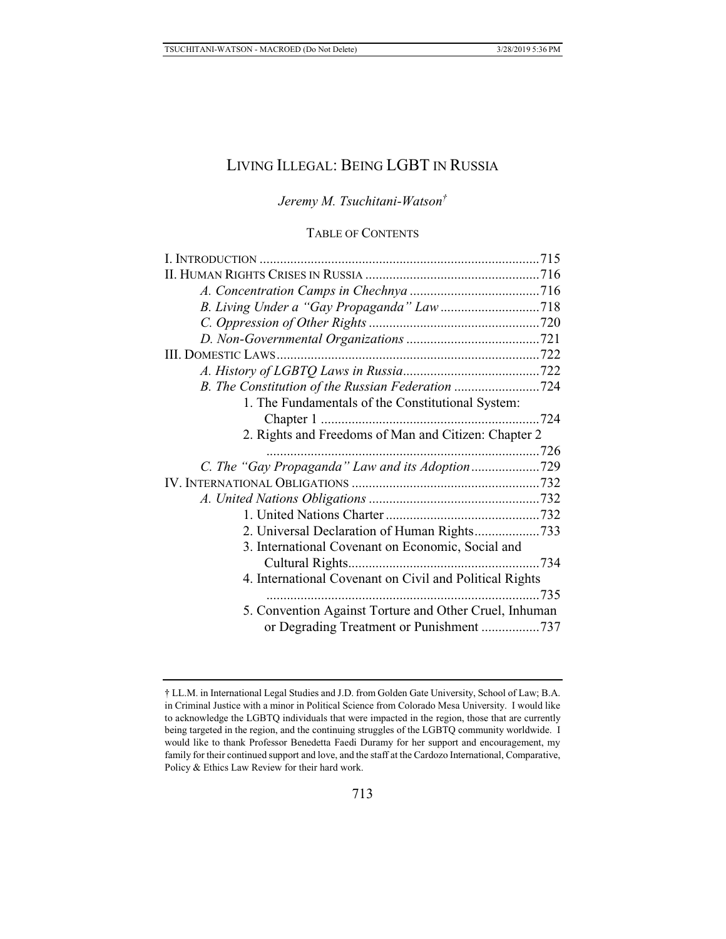# LIVING ILLEGAL: BEING LGBT IN RUSSIA

*Jeremy M. Tsuchitani-Watson†*

# TABLE OF CONTENTS

| B. The Constitution of the Russian Federation 724       |      |
|---------------------------------------------------------|------|
| 1. The Fundamentals of the Constitutional System:       |      |
|                                                         |      |
| 2. Rights and Freedoms of Man and Citizen: Chapter 2    |      |
|                                                         |      |
|                                                         |      |
|                                                         |      |
|                                                         |      |
|                                                         |      |
| 2. Universal Declaration of Human Rights733             |      |
| 3. International Covenant on Economic, Social and       |      |
|                                                         |      |
| 4. International Covenant on Civil and Political Rights |      |
|                                                         | .735 |
| 5. Convention Against Torture and Other Cruel, Inhuman  |      |
|                                                         |      |
|                                                         |      |

<sup>†</sup> LL.M. in International Legal Studies and J.D. from Golden Gate University, School of Law; B.A. in Criminal Justice with a minor in Political Science from Colorado Mesa University. I would like to acknowledge the LGBTQ individuals that were impacted in the region, those that are currently being targeted in the region, and the continuing struggles of the LGBTQ community worldwide. I would like to thank Professor Benedetta Faedi Duramy for her support and encouragement, my family for their continued support and love, and the staff at the Cardozo International, Comparative, Policy & Ethics Law Review for their hard work.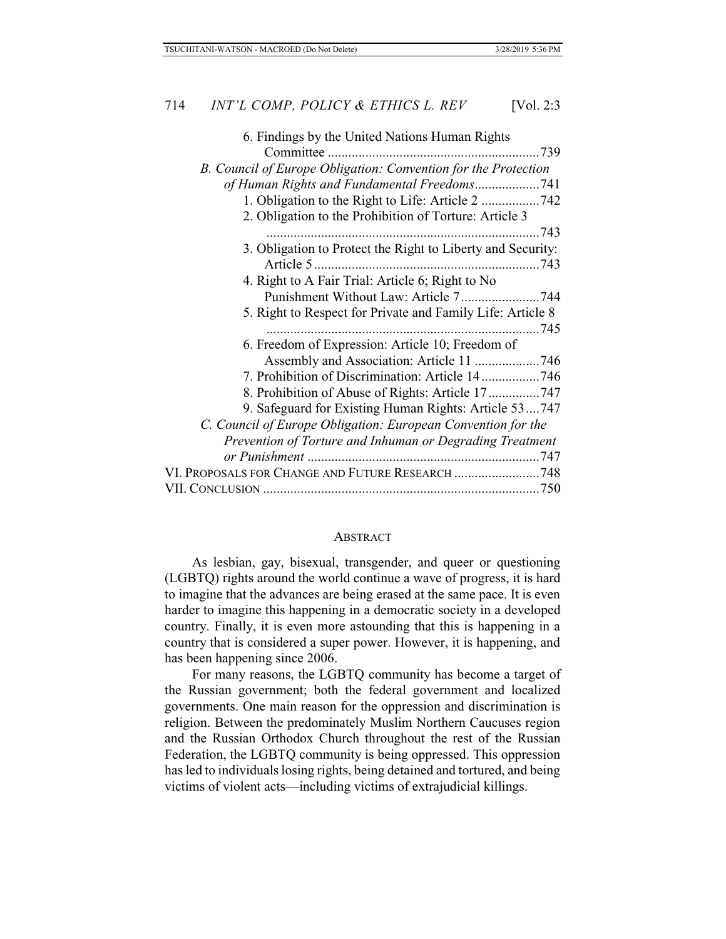#### **ABSTRACT**

As lesbian, gay, bisexual, transgender, and queer or questioning (LGBTQ) rights around the world continue a wave of progress, it is hard to imagine that the advances are being erased at the same pace. It is even harder to imagine this happening in a democratic society in a developed country. Finally, it is even more astounding that this is happening in a country that is considered a super power. However, it is happening, and has been happening since 2006.

For many reasons, the LGBTQ community has become a target of the Russian government; both the federal government and localized governments. One main reason for the oppression and discrimination is religion. Between the predominately Muslim Northern Caucuses region and the Russian Orthodox Church throughout the rest of the Russian Federation, the LGBTQ community is being oppressed. This oppression has led to individuals losing rights, being detained and tortured, and being victims of violent acts—including victims of extrajudicial killings.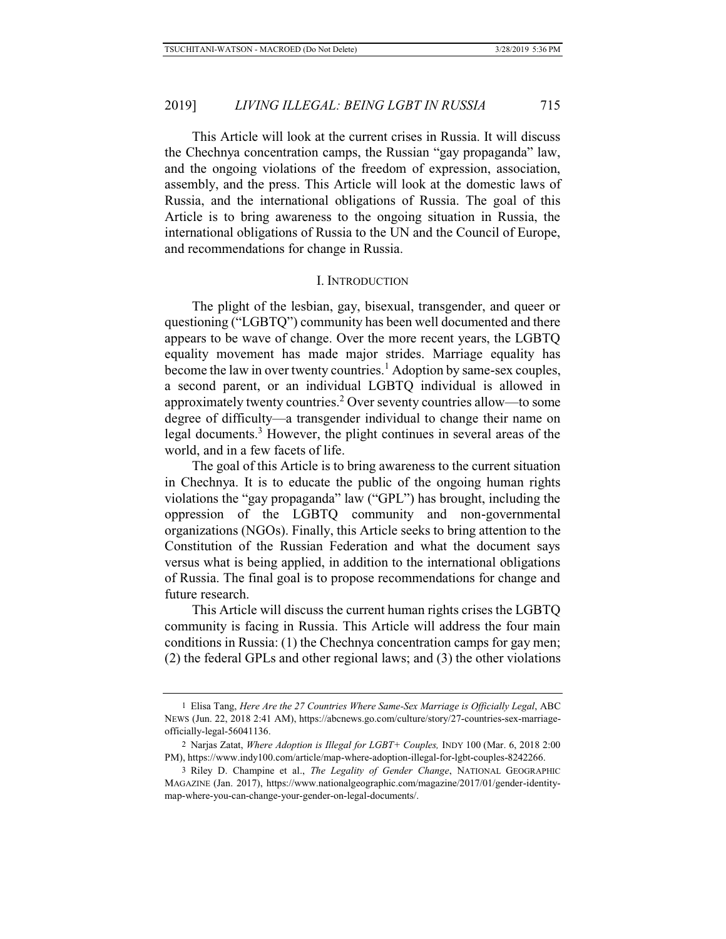This Article will look at the current crises in Russia. It will discuss the Chechnya concentration camps, the Russian "gay propaganda" law, and the ongoing violations of the freedom of expression, association, assembly, and the press. This Article will look at the domestic laws of Russia, and the international obligations of Russia. The goal of this Article is to bring awareness to the ongoing situation in Russia, the international obligations of Russia to the UN and the Council of Europe, and recommendations for change in Russia.

#### I. INTRODUCTION

The plight of the lesbian, gay, bisexual, transgender, and queer or questioning ("LGBTQ") community has been well documented and there appears to be wave of change. Over the more recent years, the LGBTQ equality movement has made major strides. Marriage equality has become the law in over twenty countries.<sup>1</sup> Adoption by same-sex couples, a second parent, or an individual LGBTQ individual is allowed in approximately twenty countries.<sup>2</sup> Over seventy countries allow—to some degree of difficulty—a transgender individual to change their name on legal documents.<sup>3</sup> However, the plight continues in several areas of the world, and in a few facets of life.

The goal of this Article is to bring awareness to the current situation in Chechnya. It is to educate the public of the ongoing human rights violations the "gay propaganda" law ("GPL") has brought, including the oppression of the LGBTQ community and non-governmental organizations (NGOs). Finally, this Article seeks to bring attention to the Constitution of the Russian Federation and what the document says versus what is being applied, in addition to the international obligations of Russia. The final goal is to propose recommendations for change and future research.

This Article will discuss the current human rights crises the LGBTQ community is facing in Russia. This Article will address the four main conditions in Russia: (1) the Chechnya concentration camps for gay men; (2) the federal GPLs and other regional laws; and (3) the other violations

<sup>1</sup> Elisa Tang, *Here Are the 27 Countries Where Same-Sex Marriage is Officially Legal*, ABC NEWS (Jun. 22, 2018 2:41 AM), https://abcnews.go.com/culture/story/27-countries-sex-marriageofficially-legal-56041136.

<sup>2</sup> Narjas Zatat, *Where Adoption is Illegal for LGBT+ Couples,* INDY 100 (Mar. 6, 2018 2:00 PM), https://www.indy100.com/article/map-where-adoption-illegal-for-lgbt-couples-8242266.

<sup>3</sup> Riley D. Champine et al., *The Legality of Gender Change*, NATIONAL GEOGRAPHIC MAGAZINE (Jan. 2017), https://www.nationalgeographic.com/magazine/2017/01/gender-identitymap-where-you-can-change-your-gender-on-legal-documents/.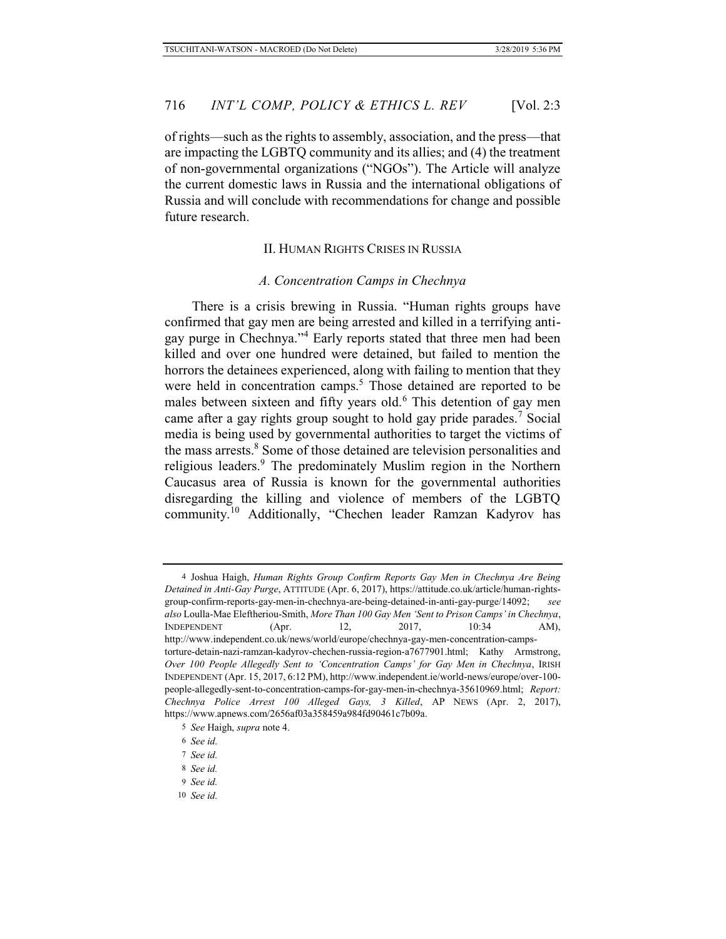of rights—such as the rights to assembly, association, and the press—that are impacting the LGBTQ community and its allies; and (4) the treatment of non-governmental organizations ("NGOs"). The Article will analyze the current domestic laws in Russia and the international obligations of Russia and will conclude with recommendations for change and possible future research.

### II. HUMAN RIGHTS CRISES IN RUSSIA

#### *A. Concentration Camps in Chechnya*

There is a crisis brewing in Russia. "Human rights groups have confirmed that gay men are being arrested and killed in a terrifying antigay purge in Chechnya."<sup>4</sup> Early reports stated that three men had been killed and over one hundred were detained, but failed to mention the horrors the detainees experienced, along with failing to mention that they were held in concentration camps.<sup>5</sup> Those detained are reported to be males between sixteen and fifty years old.<sup>6</sup> This detention of gay men came after a gay rights group sought to hold gay pride parades.<sup>7</sup> Social media is being used by governmental authorities to target the victims of the mass arrests.<sup>8</sup> Some of those detained are television personalities and religious leaders.<sup>9</sup> The predominately Muslim region in the Northern Caucasus area of Russia is known for the governmental authorities disregarding the killing and violence of members of the LGBTQ community.<sup>10</sup> Additionally, "Chechen leader Ramzan Kadyrov has

- 9 *See id.*
- 10 *See id.*

<sup>4</sup> Joshua Haigh, *Human Rights Group Confirm Reports Gay Men in Chechnya Are Being Detained in Anti-Gay Purge*, ATTITUDE (Apr. 6, 2017), https://attitude.co.uk/article/human-rightsgroup-confirm-reports-gay-men-in-chechnya-are-being-detained-in-anti-gay-purge/14092; *see also* Loulla-Mae Eleftheriou-Smith, *More Than 100 Gay Men 'Sent to Prison Camps' in Chechnya*, INDEPENDENT (Apr. 12, 2017, 10:34 AM), http://www.independent.co.uk/news/world/europe/chechnya-gay-men-concentration-campstorture-detain-nazi-ramzan-kadyrov-chechen-russia-region-a7677901.html; Kathy Armstrong, *Over 100 People Allegedly Sent to 'Concentration Camps' for Gay Men in Chechnya*, IRISH INDEPENDENT (Apr. 15, 2017, 6:12 PM), http://www.independent.ie/world-news/europe/over-100 people-allegedly-sent-to-concentration-camps-for-gay-men-in-chechnya-35610969.html; *Report: Chechnya Police Arrest 100 Alleged Gays, 3 Killed*, AP NEWS (Apr. 2, 2017), https://www.apnews.com/2656af03a358459a984fd90461c7b09a.

<sup>5</sup> *See* Haigh, *supra* note 4.

<sup>6</sup> *See id.*

<sup>7</sup> *See id.*

<sup>8</sup> *See id.*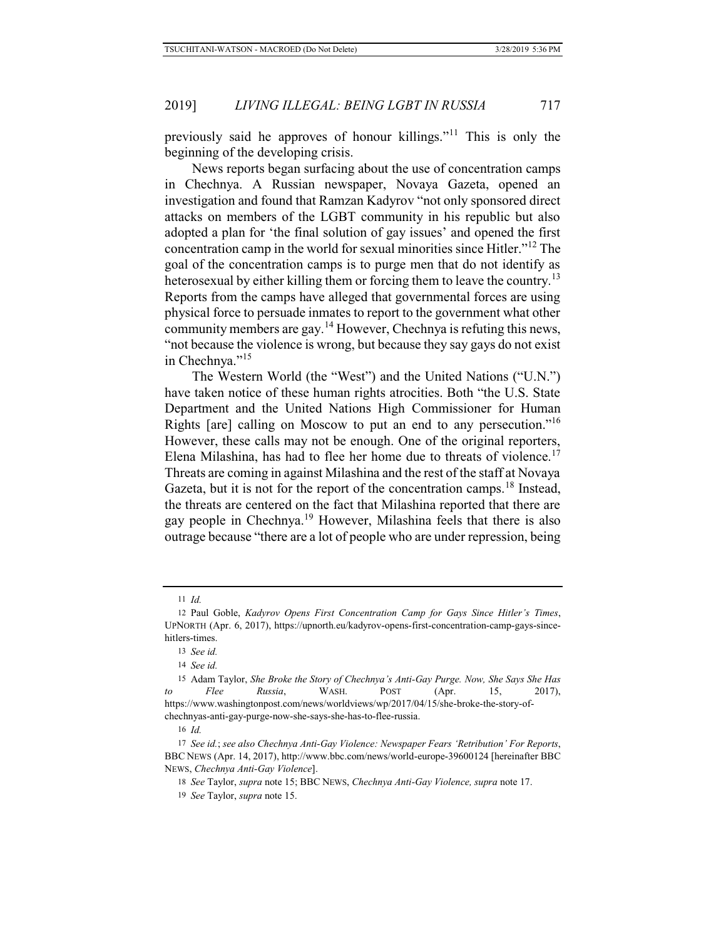previously said he approves of honour killings."11 This is only the beginning of the developing crisis.

News reports began surfacing about the use of concentration camps in Chechnya. A Russian newspaper, Novaya Gazeta, opened an investigation and found that Ramzan Kadyrov "not only sponsored direct attacks on members of the LGBT community in his republic but also adopted a plan for 'the final solution of gay issues' and opened the first concentration camp in the world for sexual minorities since Hitler."12 The goal of the concentration camps is to purge men that do not identify as heterosexual by either killing them or forcing them to leave the country.<sup>13</sup> Reports from the camps have alleged that governmental forces are using physical force to persuade inmates to report to the government what other community members are gay.<sup>14</sup> However, Chechnya is refuting this news, "not because the violence is wrong, but because they say gays do not exist in Chechnya."<sup>15</sup>

The Western World (the "West") and the United Nations ("U.N.") have taken notice of these human rights atrocities. Both "the U.S. State Department and the United Nations High Commissioner for Human Rights [are] calling on Moscow to put an end to any persecution."<sup>16</sup> However, these calls may not be enough. One of the original reporters, Elena Milashina, has had to flee her home due to threats of violence.<sup>17</sup> Threats are coming in against Milashina and the rest of the staff at Novaya Gazeta, but it is not for the report of the concentration camps.<sup>18</sup> Instead, the threats are centered on the fact that Milashina reported that there are gay people in Chechnya.<sup>19</sup> However, Milashina feels that there is also outrage because "there are a lot of people who are under repression, being

16 *Id.*

<sup>11</sup> *Id.*

<sup>12</sup> Paul Goble, *Kadyrov Opens First Concentration Camp for Gays Since Hitler's Times*, UPNORTH (Apr. 6, 2017), https://upnorth.eu/kadyrov-opens-first-concentration-camp-gays-sincehitlers-times.

<sup>13</sup> *See id.*

<sup>14</sup> *See id.*

<sup>15</sup> Adam Taylor, *She Broke the Story of Chechnya's Anti-Gay Purge. Now, She Says She Has to Flee Russia*, WASH. POST (Apr. 15, 2017), https://www.washingtonpost.com/news/worldviews/wp/2017/04/15/she-broke-the-story-ofchechnyas-anti-gay-purge-now-she-says-she-has-to-flee-russia.

<sup>17</sup> *See id.*; *see also Chechnya Anti-Gay Violence: Newspaper Fears 'Retribution' For Reports*, BBC NEWS (Apr. 14, 2017), http://www.bbc.com/news/world-europe-39600124 [hereinafter BBC NEWS, *Chechnya Anti-Gay Violence*].

<sup>18</sup> *See* Taylor, *supra* note 15; BBC NEWS, *Chechnya Anti-Gay Violence, supra* note 17.

<sup>19</sup> *See* Taylor, *supra* note 15.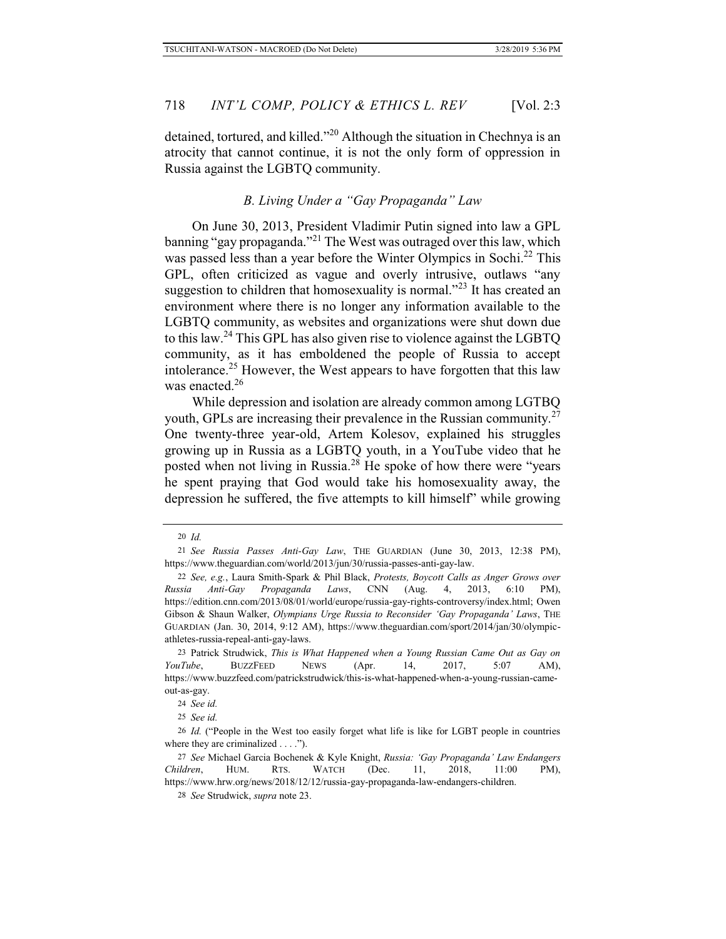detained, tortured, and killed."20 Although the situation in Chechnya is an atrocity that cannot continue, it is not the only form of oppression in Russia against the LGBTQ community.

# *B. Living Under a "Gay Propaganda" Law*

On June 30, 2013, President Vladimir Putin signed into law a GPL banning "gay propaganda."<sup>21</sup> The West was outraged over this law, which was passed less than a year before the Winter Olympics in Sochi.<sup>22</sup> This GPL, often criticized as vague and overly intrusive, outlaws "any suggestion to children that homosexuality is normal."<sup>23</sup> It has created an environment where there is no longer any information available to the LGBTQ community, as websites and organizations were shut down due to this law.24 This GPL has also given rise to violence against the LGBTQ community, as it has emboldened the people of Russia to accept intolerance.<sup>25</sup> However, the West appears to have forgotten that this law was enacted.<sup>26</sup>

While depression and isolation are already common among LGTBQ youth, GPLs are increasing their prevalence in the Russian community.<sup>27</sup> One twenty-three year-old, Artem Kolesov, explained his struggles growing up in Russia as a LGBTQ youth, in a YouTube video that he posted when not living in Russia.<sup>28</sup> He spoke of how there were "years he spent praying that God would take his homosexuality away, the depression he suffered, the five attempts to kill himself" while growing

<sup>20</sup> *Id.*

<sup>21</sup> *See Russia Passes Anti-Gay Law*, THE GUARDIAN (June 30, 2013, 12:38 PM), https://www.theguardian.com/world/2013/jun/30/russia-passes-anti-gay-law.

<sup>22</sup> *See, e.g.*, Laura Smith-Spark & Phil Black, *Protests, Boycott Calls as Anger Grows over Russia Anti-Gay Propaganda Laws*, CNN (Aug. 4, 2013, 6:10 PM), https://edition.cnn.com/2013/08/01/world/europe/russia-gay-rights-controversy/index.html; Owen Gibson & Shaun Walker, *Olympians Urge Russia to Reconsider 'Gay Propaganda' Laws*, THE GUARDIAN (Jan. 30, 2014, 9:12 AM), https://www.theguardian.com/sport/2014/jan/30/olympicathletes-russia-repeal-anti-gay-laws.

<sup>23</sup> Patrick Strudwick, *This is What Happened when a Young Russian Came Out as Gay on YouTube*, BUZZFEED NEWS (Apr. 14, 2017, 5:07 AM), https://www.buzzfeed.com/patrickstrudwick/this-is-what-happened-when-a-young-russian-cameout-as-gay.

<sup>24</sup> *See id.*

<sup>25</sup> *See id.*

<sup>26</sup> *Id.* ("People in the West too easily forget what life is like for LGBT people in countries where they are criminalized  $\dots$ .").

<sup>27</sup> *See* Michael Garcia Bochenek & Kyle Knight, *Russia: 'Gay Propaganda' Law Endangers Children*, HUM. RTS. WATCH (Dec. 11, 2018, 11:00 PM), https://www.hrw.org/news/2018/12/12/russia-gay-propaganda-law-endangers-children.

<sup>28</sup> *See* Strudwick, *supra* note 23.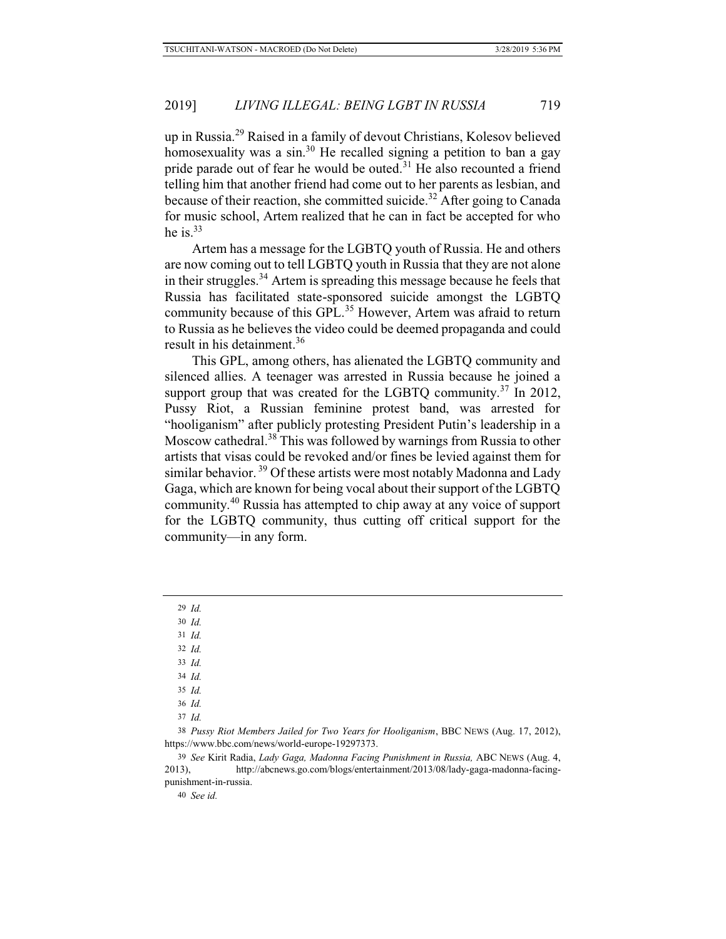up in Russia.29 Raised in a family of devout Christians, Kolesov believed homosexuality was a sin.<sup>30</sup> He recalled signing a petition to ban a gay pride parade out of fear he would be outed.<sup>31</sup> He also recounted a friend telling him that another friend had come out to her parents as lesbian, and because of their reaction, she committed suicide.<sup>32</sup> After going to Canada for music school, Artem realized that he can in fact be accepted for who he is. $33$ 

Artem has a message for the LGBTQ youth of Russia. He and others are now coming out to tell LGBTQ youth in Russia that they are not alone in their struggles.<sup>34</sup> Artem is spreading this message because he feels that Russia has facilitated state-sponsored suicide amongst the LGBTQ community because of this GPL.<sup>35</sup> However, Artem was afraid to return to Russia as he believes the video could be deemed propaganda and could result in his detainment.<sup>36</sup>

This GPL, among others, has alienated the LGBTQ community and silenced allies. A teenager was arrested in Russia because he joined a support group that was created for the LGBTQ community.<sup>37</sup> In 2012, Pussy Riot, a Russian feminine protest band, was arrested for "hooliganism" after publicly protesting President Putin's leadership in a Moscow cathedral.38 This was followed by warnings from Russia to other artists that visas could be revoked and/or fines be levied against them for similar behavior.<sup>39</sup> Of these artists were most notably Madonna and Lady Gaga, which are known for being vocal about their support of the LGBTQ community.40 Russia has attempted to chip away at any voice of support for the LGBTQ community, thus cutting off critical support for the community—in any form.

29 *Id.*

30 *Id.*

- 31 *Id.*
- 32 *Id.*
- 33 *Id.* 34 *Id.*
- 35 *Id.*
- 36 *Id.*
- 37 *Id.*

38 *Pussy Riot Members Jailed for Two Years for Hooliganism*, BBC NEWS (Aug. 17, 2012), https://www.bbc.com/news/world-europe-19297373.

39 *See* Kirit Radia, *Lady Gaga, Madonna Facing Punishment in Russia,* ABC NEWS (Aug. 4, 2013), http://abcnews.go.com/blogs/entertainment/2013/08/lady-gaga-madonna-facingpunishment-in-russia.

40 *See id.*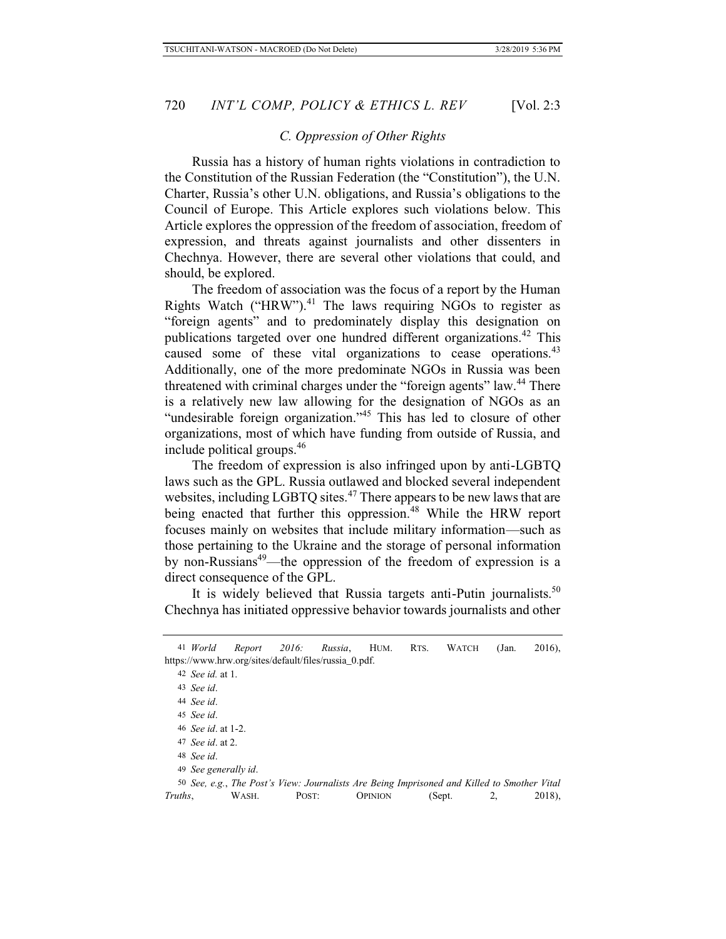# *C. Oppression of Other Rights*

Russia has a history of human rights violations in contradiction to the Constitution of the Russian Federation (the "Constitution"), the U.N. Charter, Russia's other U.N. obligations, and Russia's obligations to the Council of Europe. This Article explores such violations below. This Article explores the oppression of the freedom of association, freedom of expression, and threats against journalists and other dissenters in Chechnya. However, there are several other violations that could, and should, be explored.

The freedom of association was the focus of a report by the Human Rights Watch ("HRW"). $41$  The laws requiring NGOs to register as "foreign agents" and to predominately display this designation on publications targeted over one hundred different organizations.<sup>42</sup> This caused some of these vital organizations to cease operations.<sup>43</sup> Additionally, one of the more predominate NGOs in Russia was been threatened with criminal charges under the "foreign agents" law.<sup>44</sup> There is a relatively new law allowing for the designation of NGOs as an "undesirable foreign organization."<sup>45</sup> This has led to closure of other organizations, most of which have funding from outside of Russia, and include political groups.46

The freedom of expression is also infringed upon by anti-LGBTQ laws such as the GPL. Russia outlawed and blocked several independent websites, including LGBTQ sites.<sup>47</sup> There appears to be new laws that are being enacted that further this oppression.<sup>48</sup> While the HRW report focuses mainly on websites that include military information—such as those pertaining to the Ukraine and the storage of personal information by non-Russians<sup>49</sup>—the oppression of the freedom of expression is a direct consequence of the GPL.

It is widely believed that Russia targets anti-Putin journalists.<sup>50</sup> Chechnya has initiated oppressive behavior towards journalists and other

<sup>41</sup> *World Report 2016: Russia*, HUM. RTS. WATCH (Jan. 2016), https://www.hrw.org/sites/default/files/russia\_0.pdf.

<sup>42</sup> *See id.* at 1.

<sup>43</sup> *See id*.

<sup>44</sup> *See id*.

<sup>45</sup> *See id*.

<sup>46</sup> *See id*. at 1-2.

<sup>47</sup> *See id*. at 2.

<sup>48</sup> *See id*.

<sup>49</sup> *See generally id*.

<sup>50</sup> *See, e.g.*, *The Post's View: Journalists Are Being Imprisoned and Killed to Smother Vital Truths*, WASH. POST: OPINION (Sept. 2, 2018),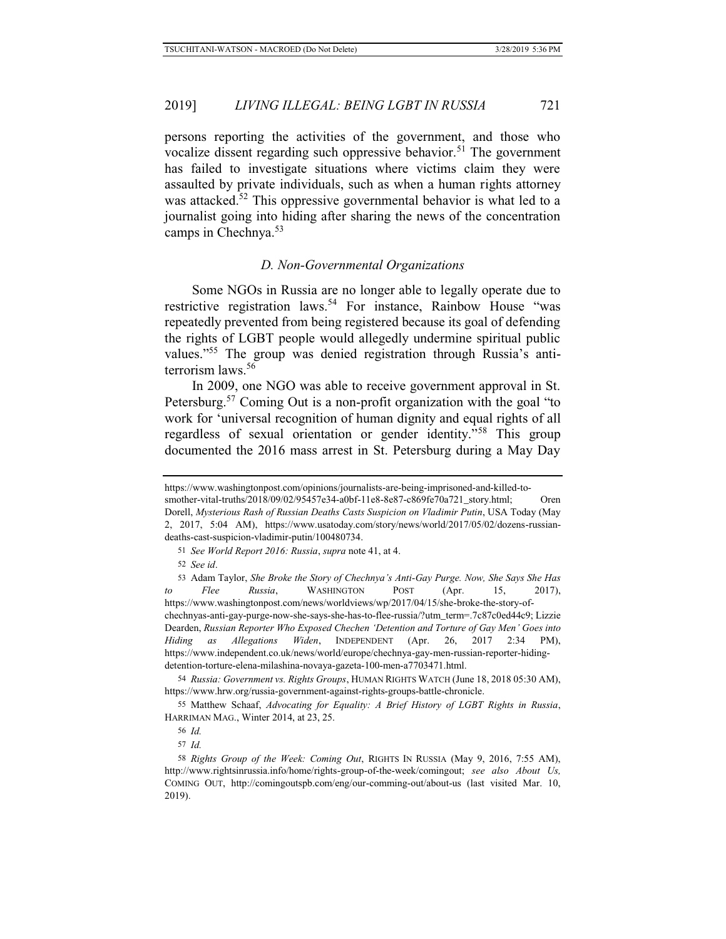persons reporting the activities of the government, and those who vocalize dissent regarding such oppressive behavior.<sup>51</sup> The government has failed to investigate situations where victims claim they were assaulted by private individuals, such as when a human rights attorney was attacked.<sup>52</sup> This oppressive governmental behavior is what led to a journalist going into hiding after sharing the news of the concentration camps in Chechnya.<sup>53</sup>

#### *D. Non-Governmental Organizations*

Some NGOs in Russia are no longer able to legally operate due to restrictive registration laws.<sup>54</sup> For instance, Rainbow House "was repeatedly prevented from being registered because its goal of defending the rights of LGBT people would allegedly undermine spiritual public values."55 The group was denied registration through Russia's antiterrorism laws.56

In 2009, one NGO was able to receive government approval in St. Petersburg.<sup>57</sup> Coming Out is a non-profit organization with the goal "to" work for 'universal recognition of human dignity and equal rights of all regardless of sexual orientation or gender identity."58 This group documented the 2016 mass arrest in St. Petersburg during a May Day

51 *See World Report 2016: Russia*, *supra* note 41, at 4.

52 *See id*.

53 Adam Taylor, *She Broke the Story of Chechnya's Anti-Gay Purge. Now, She Says She Has to Flee Russia*, WASHINGTON POST (Apr. 15, 2017), https://www.washingtonpost.com/news/worldviews/wp/2017/04/15/she-broke-the-story-ofchechnyas-anti-gay-purge-now-she-says-she-has-to-flee-russia/?utm\_term=.7c87c0ed44c9; Lizzie Dearden, *Russian Reporter Who Exposed Chechen 'Detention and Torture of Gay Men' Goes into Hiding as Allegations Widen*, INDEPENDENT (Apr. 26, 2017 2:34 PM), https://www.independent.co.uk/news/world/europe/chechnya-gay-men-russian-reporter-hidingdetention-torture-elena-milashina-novaya-gazeta-100-men-a7703471.html.

54 *Russia: Government vs. Rights Groups*, HUMAN RIGHTS WATCH (June 18, 2018 05:30 AM), https://www.hrw.org/russia-government-against-rights-groups-battle-chronicle.

55 Matthew Schaaf, *Advocating for Equality: A Brief History of LGBT Rights in Russia*, HARRIMAN MAG., Winter 2014, at 23, 25.

https://www.washingtonpost.com/opinions/journalists-are-being-imprisoned-and-killed-tosmother-vital-truths/2018/09/02/95457e34-a0bf-11e8-8e87-c869fe70a721\_story.html; Oren

Dorell, *Mysterious Rash of Russian Deaths Casts Suspicion on Vladimir Putin*, USA Today (May 2, 2017, 5:04 AM), https://www.usatoday.com/story/news/world/2017/05/02/dozens-russiandeaths-cast-suspicion-vladimir-putin/100480734.

<sup>56</sup> *Id.*

<sup>57</sup> *Id.*

<sup>58</sup> *Rights Group of the Week: Coming Out*, RIGHTS IN RUSSIA (May 9, 2016, 7:55 AM), http://www.rightsinrussia.info/home/rights-group-of-the-week/comingout; *see also About Us,*  COMING OUT, http://comingoutspb.com/eng/our-comming-out/about-us (last visited Mar. 10, 2019).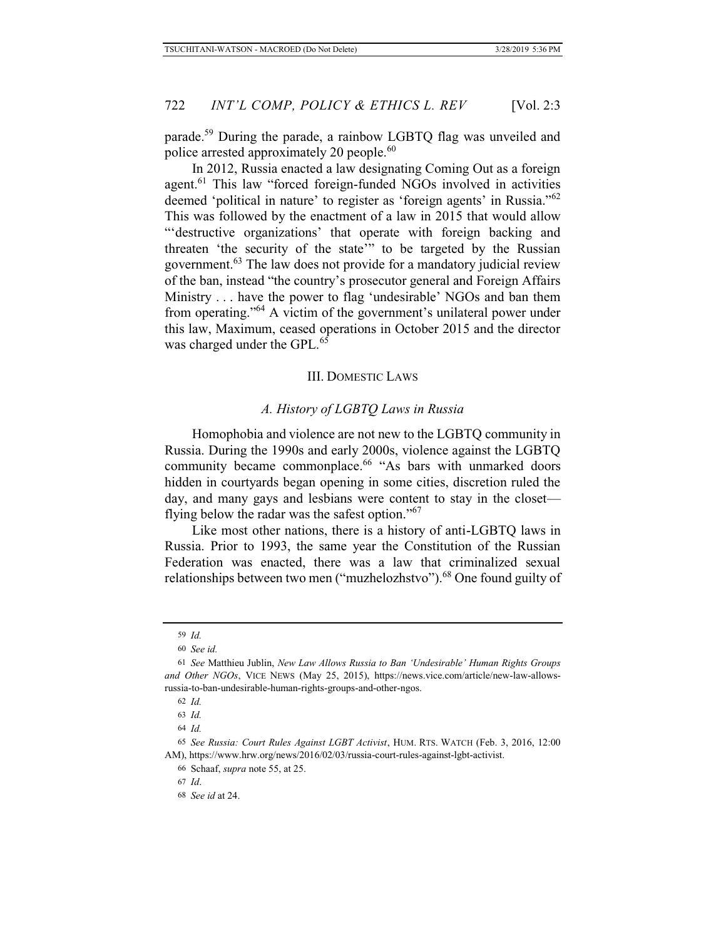parade.<sup>59</sup> During the parade, a rainbow LGBTQ flag was unveiled and police arrested approximately 20 people.<sup>60</sup>

In 2012, Russia enacted a law designating Coming Out as a foreign agent.<sup>61</sup> This law "forced foreign-funded NGOs involved in activities deemed 'political in nature' to register as 'foreign agents' in Russia."<sup>62</sup> This was followed by the enactment of a law in 2015 that would allow "'destructive organizations' that operate with foreign backing and threaten 'the security of the state'" to be targeted by the Russian government.63 The law does not provide for a mandatory judicial review of the ban, instead "the country's prosecutor general and Foreign Affairs Ministry . . . have the power to flag 'undesirable' NGOs and ban them from operating."<sup>64</sup> A victim of the government's unilateral power under this law, Maximum, ceased operations in October 2015 and the director was charged under the GPL.<sup>65</sup>

### III. DOMESTIC LAWS

### *A. History of LGBTQ Laws in Russia*

Homophobia and violence are not new to the LGBTQ community in Russia. During the 1990s and early 2000s, violence against the LGBTQ community became commonplace.<sup>66</sup> "As bars with unmarked doors hidden in courtyards began opening in some cities, discretion ruled the day, and many gays and lesbians were content to stay in the closet flying below the radar was the safest option."<sup>67</sup>

Like most other nations, there is a history of anti-LGBTQ laws in Russia. Prior to 1993, the same year the Constitution of the Russian Federation was enacted, there was a law that criminalized sexual relationships between two men ("muzhelozhstvo").<sup>68</sup> One found guilty of

<sup>59</sup> *Id.*

<sup>60</sup> *See id.* 

<sup>61</sup> *See* Matthieu Jublin, *New Law Allows Russia to Ban 'Undesirable' Human Rights Groups and Other NGOs*, VICE NEWS (May 25, 2015), https://news.vice.com/article/new-law-allowsrussia-to-ban-undesirable-human-rights-groups-and-other-ngos.

<sup>62</sup> *Id.* 

<sup>63</sup> *Id.*

<sup>64</sup> *Id.*

<sup>65</sup> *See Russia: Court Rules Against LGBT Activist*, HUM. RTS. WATCH (Feb. 3, 2016, 12:00 AM), https://www.hrw.org/news/2016/02/03/russia-court-rules-against-lgbt-activist.

<sup>66</sup> Schaaf, *supra* note 55, at 25.

<sup>67</sup> *Id*.

<sup>68</sup> *See id* at 24.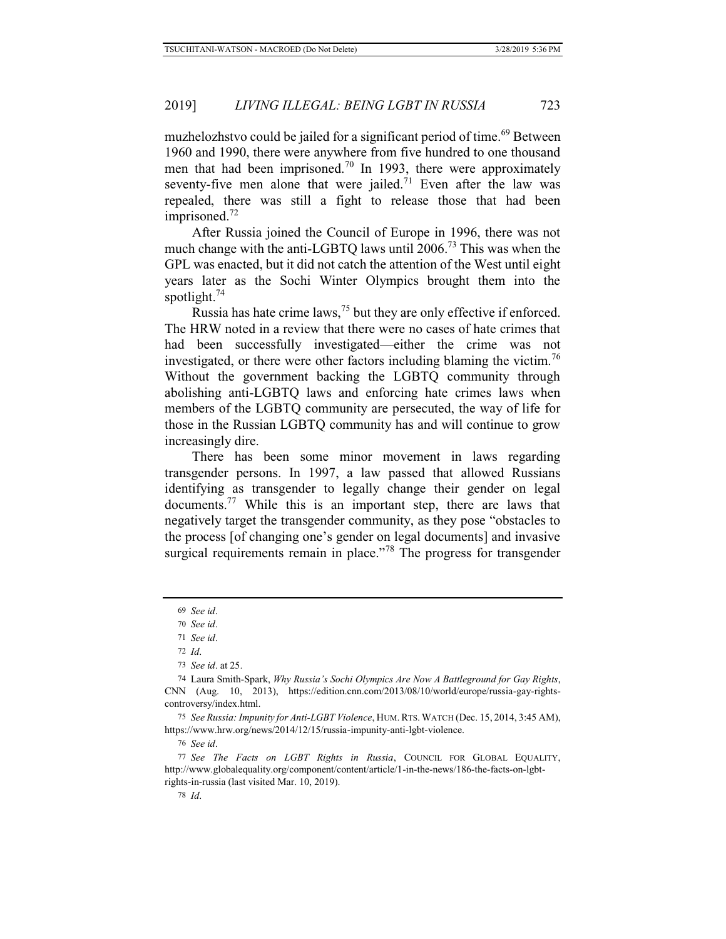muzhelozhstvo could be jailed for a significant period of time.<sup>69</sup> Between 1960 and 1990, there were anywhere from five hundred to one thousand men that had been imprisoned.<sup>70</sup> In 1993, there were approximately seventy-five men alone that were jailed.<sup>71</sup> Even after the law was repealed, there was still a fight to release those that had been imprisoned. $72$ 

After Russia joined the Council of Europe in 1996, there was not much change with the anti-LGBTQ laws until 2006.73 This was when the GPL was enacted, but it did not catch the attention of the West until eight years later as the Sochi Winter Olympics brought them into the spotlight.<sup>74</sup>

Russia has hate crime laws,<sup>75</sup> but they are only effective if enforced. The HRW noted in a review that there were no cases of hate crimes that had been successfully investigated—either the crime was not investigated, or there were other factors including blaming the victim.<sup>76</sup> Without the government backing the LGBTQ community through abolishing anti-LGBTQ laws and enforcing hate crimes laws when members of the LGBTQ community are persecuted, the way of life for those in the Russian LGBTQ community has and will continue to grow increasingly dire.

There has been some minor movement in laws regarding transgender persons. In 1997, a law passed that allowed Russians identifying as transgender to legally change their gender on legal documents.<sup>77</sup> While this is an important step, there are laws that negatively target the transgender community, as they pose "obstacles to the process [of changing one's gender on legal documents] and invasive surgical requirements remain in place."<sup>78</sup> The progress for transgender

75 *See Russia: Impunity for Anti-LGBT Violence*, HUM.RTS. WATCH (Dec. 15, 2014, 3:45 AM), https://www.hrw.org/news/2014/12/15/russia-impunity-anti-lgbt-violence.

76 *See id*.

77 *See The Facts on LGBT Rights in Russia*, COUNCIL FOR GLOBAL EQUALITY, http://www.globalequality.org/component/content/article/1-in-the-news/186-the-facts-on-lgbtrights-in-russia (last visited Mar. 10, 2019).

<sup>69</sup> *See id*.

<sup>70</sup> *See id*.

<sup>71</sup> *See id*.

<sup>72</sup> *Id*.

<sup>73</sup> *See id*. at 25.

<sup>74</sup> Laura Smith-Spark, *Why Russia's Sochi Olympics Are Now A Battleground for Gay Rights*, CNN (Aug. 10, 2013), https://edition.cnn.com/2013/08/10/world/europe/russia-gay-rightscontroversy/index.html.

<sup>78</sup> *Id*.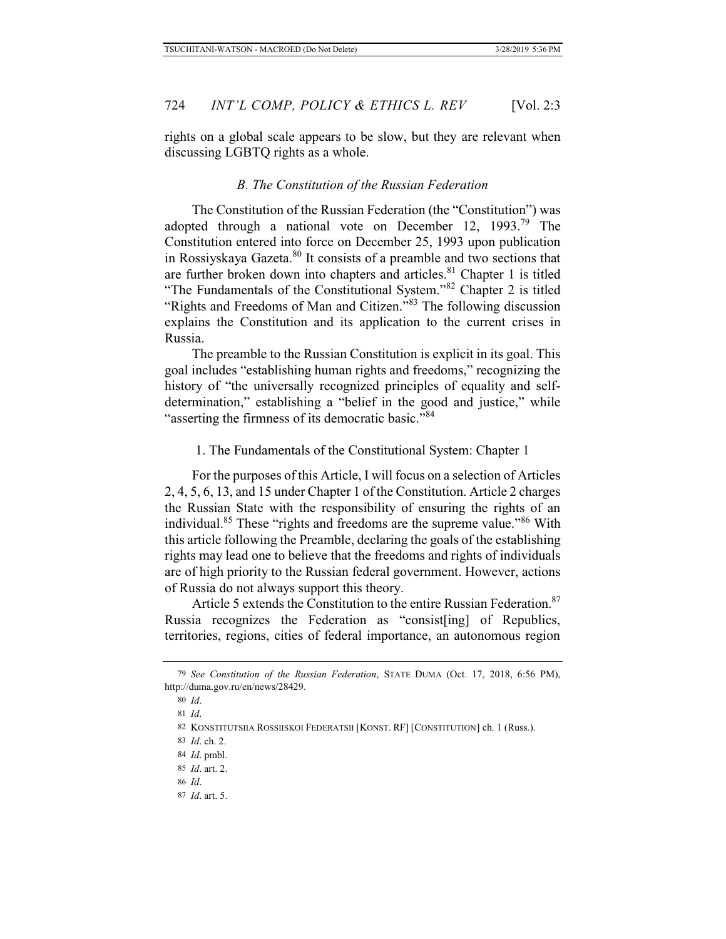rights on a global scale appears to be slow, but they are relevant when discussing LGBTQ rights as a whole.

### *B. The Constitution of the Russian Federation*

The Constitution of the Russian Federation (the "Constitution") was adopted through a national vote on December 12, 1993.<sup>79</sup> The Constitution entered into force on December 25, 1993 upon publication in Rossiyskaya Gazeta.<sup>80</sup> It consists of a preamble and two sections that are further broken down into chapters and articles.<sup>81</sup> Chapter 1 is titled "The Fundamentals of the Constitutional System."<sup>82</sup> Chapter 2 is titled "Rights and Freedoms of Man and Citizen."<sup>83</sup> The following discussion explains the Constitution and its application to the current crises in Russia.

The preamble to the Russian Constitution is explicit in its goal. This goal includes "establishing human rights and freedoms," recognizing the history of "the universally recognized principles of equality and selfdetermination," establishing a "belief in the good and justice," while "asserting the firmness of its democratic basic."<sup>84</sup>

1. The Fundamentals of the Constitutional System: Chapter 1

For the purposes of this Article, I will focus on a selection of Articles 2, 4, 5, 6, 13, and 15 under Chapter 1 of the Constitution. Article 2 charges the Russian State with the responsibility of ensuring the rights of an individual.85 These "rights and freedoms are the supreme value."86 With this article following the Preamble, declaring the goals of the establishing rights may lead one to believe that the freedoms and rights of individuals are of high priority to the Russian federal government. However, actions of Russia do not always support this theory.

Article 5 extends the Constitution to the entire Russian Federation.<sup>87</sup> Russia recognizes the Federation as "consist[ing] of Republics, territories, regions, cities of federal importance, an autonomous region

- 86 *Id*.
- 87 *Id*. art. 5.

<sup>79</sup> *See Constitution of the Russian Federation*, STATE DUMA (Oct. 17, 2018, 6:56 PM), http://duma.gov.ru/en/news/28429.

<sup>80</sup> *Id*.

<sup>81</sup> *Id*.

<sup>82</sup> KONSTITUTSIIA ROSSIISKOI FEDERATSII [KONST. RF] [CONSTITUTION] ch. 1 (Russ.).

<sup>83</sup> *Id*. ch. 2.

<sup>84</sup> *Id*. pmbl.

<sup>85</sup> *Id*. art. 2.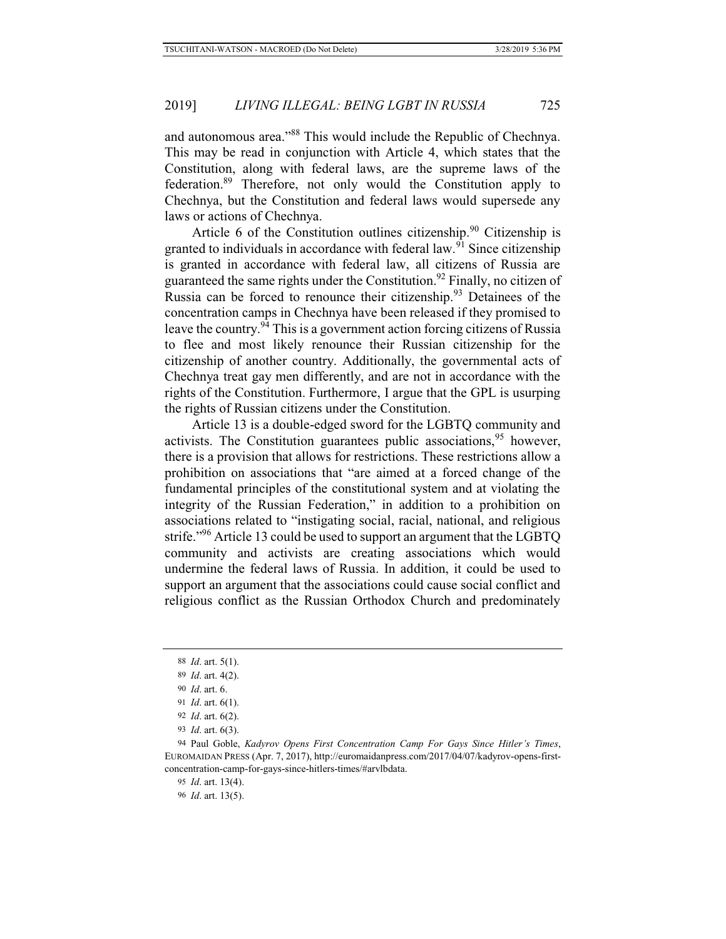and autonomous area."88 This would include the Republic of Chechnya. This may be read in conjunction with Article 4, which states that the Constitution, along with federal laws, are the supreme laws of the federation.89 Therefore, not only would the Constitution apply to Chechnya, but the Constitution and federal laws would supersede any laws or actions of Chechnya.

Article 6 of the Constitution outlines citizenship.<sup>90</sup> Citizenship is granted to individuals in accordance with federal law.<sup>91</sup> Since citizenship is granted in accordance with federal law, all citizens of Russia are guaranteed the same rights under the Constitution.<sup>92</sup> Finally, no citizen of Russia can be forced to renounce their citizenship. $93$  Detainees of the concentration camps in Chechnya have been released if they promised to leave the country.<sup>94</sup> This is a government action forcing citizens of Russia to flee and most likely renounce their Russian citizenship for the citizenship of another country. Additionally, the governmental acts of Chechnya treat gay men differently, and are not in accordance with the rights of the Constitution. Furthermore, I argue that the GPL is usurping the rights of Russian citizens under the Constitution.

Article 13 is a double-edged sword for the LGBTQ community and activists. The Constitution guarantees public associations,  $95$  however, there is a provision that allows for restrictions. These restrictions allow a prohibition on associations that "are aimed at a forced change of the fundamental principles of the constitutional system and at violating the integrity of the Russian Federation," in addition to a prohibition on associations related to "instigating social, racial, national, and religious strife."<sup>96</sup> Article 13 could be used to support an argument that the LGBTQ community and activists are creating associations which would undermine the federal laws of Russia. In addition, it could be used to support an argument that the associations could cause social conflict and religious conflict as the Russian Orthodox Church and predominately

<sup>88</sup> *Id*. art. 5(1).

<sup>89</sup> *Id*. art. 4(2).

<sup>90</sup> *Id*. art. 6.

<sup>91</sup> *Id*. art. 6(1).

<sup>92</sup> *Id*. art. 6(2).

<sup>93</sup> *Id*. art. 6(3).

<sup>94</sup> Paul Goble, *Kadyrov Opens First Concentration Camp For Gays Since Hitler's Times*, EUROMAIDAN PRESS (Apr. 7, 2017), http://euromaidanpress.com/2017/04/07/kadyrov-opens-firstconcentration-camp-for-gays-since-hitlers-times/#arvlbdata.

<sup>95</sup> *Id*. art. 13(4).

<sup>96</sup> *Id*. art. 13(5).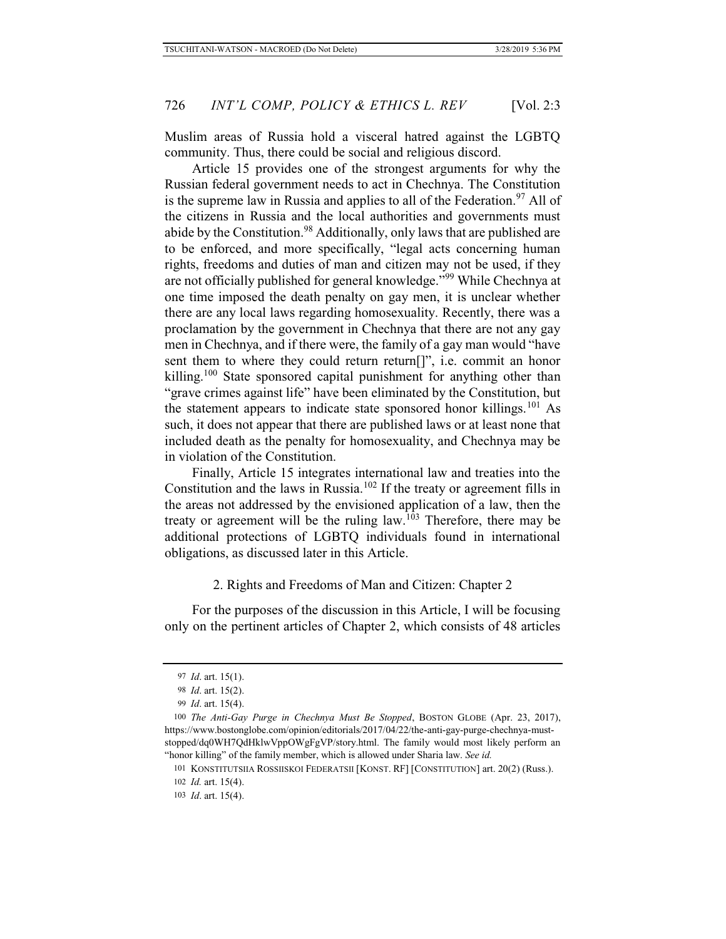Muslim areas of Russia hold a visceral hatred against the LGBTQ community. Thus, there could be social and religious discord.

Article 15 provides one of the strongest arguments for why the Russian federal government needs to act in Chechnya. The Constitution is the supreme law in Russia and applies to all of the Federation.<sup>97</sup> All of the citizens in Russia and the local authorities and governments must abide by the Constitution.<sup>98</sup> Additionally, only laws that are published are to be enforced, and more specifically, "legal acts concerning human rights, freedoms and duties of man and citizen may not be used, if they are not officially published for general knowledge."<sup>99</sup> While Chechnya at one time imposed the death penalty on gay men, it is unclear whether there are any local laws regarding homosexuality. Recently, there was a proclamation by the government in Chechnya that there are not any gay men in Chechnya, and if there were, the family of a gay man would "have sent them to where they could return return[]", i.e. commit an honor killing.<sup>100</sup> State sponsored capital punishment for anything other than "grave crimes against life" have been eliminated by the Constitution, but the statement appears to indicate state sponsored honor killings.<sup>101</sup> As such, it does not appear that there are published laws or at least none that included death as the penalty for homosexuality, and Chechnya may be in violation of the Constitution.

Finally, Article 15 integrates international law and treaties into the Constitution and the laws in Russia.<sup>102</sup> If the treaty or agreement fills in the areas not addressed by the envisioned application of a law, then the treaty or agreement will be the ruling law.<sup>103</sup> Therefore, there may be additional protections of LGBTQ individuals found in international obligations, as discussed later in this Article.

2. Rights and Freedoms of Man and Citizen: Chapter 2

For the purposes of the discussion in this Article, I will be focusing only on the pertinent articles of Chapter 2, which consists of 48 articles

<sup>97</sup> *Id*. art. 15(1).

<sup>98</sup> *Id*. art. 15(2).

<sup>99</sup> *Id*. art. 15(4).

<sup>100</sup> *The Anti-Gay Purge in Chechnya Must Be Stopped*, BOSTON GLOBE (Apr. 23, 2017), https://www.bostonglobe.com/opinion/editorials/2017/04/22/the-anti-gay-purge-chechnya-muststopped/dq0WH7QdHklwVppOWgFgVP/story.html. The family would most likely perform an "honor killing" of the family member, which is allowed under Sharia law. *See id.* 

<sup>101</sup> KONSTITUTSIIA ROSSIISKOI FEDERATSII [KONST. RF] [CONSTITUTION] art. 20(2) (Russ.).

<sup>102</sup> *Id.* art. 15(4).

<sup>103</sup> *Id*. art. 15(4).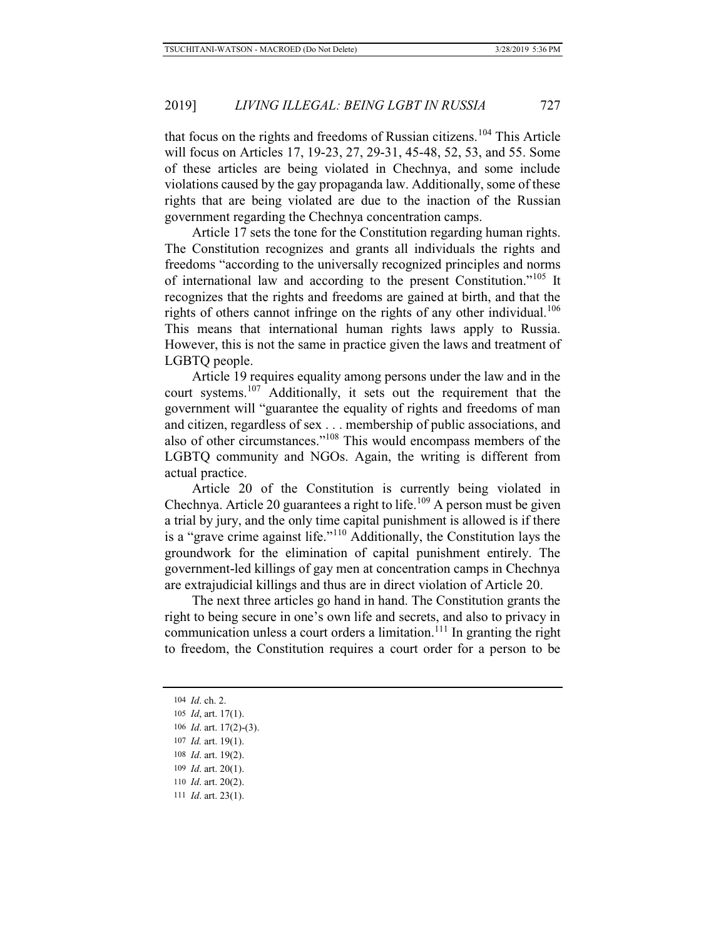that focus on the rights and freedoms of Russian citizens.104 This Article will focus on Articles 17, 19-23, 27, 29-31, 45-48, 52, 53, and 55. Some of these articles are being violated in Chechnya, and some include violations caused by the gay propaganda law. Additionally, some of these rights that are being violated are due to the inaction of the Russian government regarding the Chechnya concentration camps.

Article 17 sets the tone for the Constitution regarding human rights. The Constitution recognizes and grants all individuals the rights and freedoms "according to the universally recognized principles and norms of international law and according to the present Constitution."105 It recognizes that the rights and freedoms are gained at birth, and that the rights of others cannot infringe on the rights of any other individual.<sup>106</sup> This means that international human rights laws apply to Russia. However, this is not the same in practice given the laws and treatment of LGBTQ people.

Article 19 requires equality among persons under the law and in the court systems.107 Additionally, it sets out the requirement that the government will "guarantee the equality of rights and freedoms of man and citizen, regardless of sex . . . membership of public associations, and also of other circumstances."108 This would encompass members of the LGBTQ community and NGOs. Again, the writing is different from actual practice.

Article 20 of the Constitution is currently being violated in Chechnya. Article 20 guarantees a right to life.109 A person must be given a trial by jury, and the only time capital punishment is allowed is if there is a "grave crime against life."110 Additionally, the Constitution lays the groundwork for the elimination of capital punishment entirely. The government-led killings of gay men at concentration camps in Chechnya are extrajudicial killings and thus are in direct violation of Article 20.

The next three articles go hand in hand. The Constitution grants the right to being secure in one's own life and secrets, and also to privacy in communication unless a court orders a limitation.<sup>111</sup> In granting the right to freedom, the Constitution requires a court order for a person to be

 *Id*. ch. 2.  *Id*, art. 17(1).  *Id*. art. 17(2)-(3).  *Id.* art. 19(1).  *Id*. art. 19(2).  *Id*. art. 20(1).  *Id*. art. 20(2).  *Id*. art. 23(1).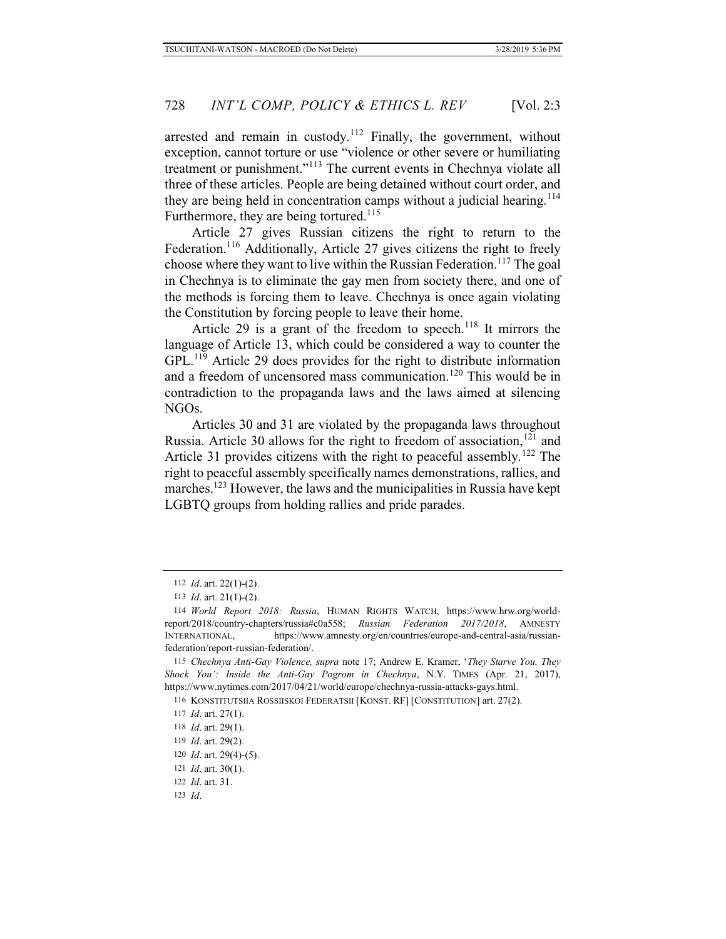arrested and remain in custody.<sup>112</sup> Finally, the government, without exception, cannot torture or use "violence or other severe or humiliating treatment or punishment."113 The current events in Chechnya violate all three of these articles. People are being detained without court order, and they are being held in concentration camps without a judicial hearing.<sup>114</sup> Furthermore, they are being tortured.<sup>115</sup>

Article 27 gives Russian citizens the right to return to the Federation.<sup>116</sup> Additionally, Article 27 gives citizens the right to freely choose where they want to live within the Russian Federation.<sup>117</sup> The goal in Chechnya is to eliminate the gay men from society there, and one of the methods is forcing them to leave. Chechnya is once again violating the Constitution by forcing people to leave their home.

Article 29 is a grant of the freedom to speech.<sup>118</sup> It mirrors the language of Article 13, which could be considered a way to counter the GPL.<sup>119</sup> Article 29 does provides for the right to distribute information and a freedom of uncensored mass communication.<sup>120</sup> This would be in contradiction to the propaganda laws and the laws aimed at silencing NGOs.

Articles 30 and 31 are violated by the propaganda laws throughout Russia. Article 30 allows for the right to freedom of association, $121$  and Article 31 provides citizens with the right to peaceful assembly.<sup>122</sup> The right to peaceful assembly specifically names demonstrations, rallies, and marches.<sup>123</sup> However, the laws and the municipalities in Russia have kept LGBTQ groups from holding rallies and pride parades.

<sup>112</sup> *Id*. art. 22(1)-(2).

<sup>113</sup> *Id*. art. 21(1)-(2).

<sup>114</sup> *World Report 2018: Russia*, HUMAN RIGHTS WATCH, https://www.hrw.org/worldreport/2018/country-chapters/russia#c0a558; *Russian Federation 2017/2018*, AMNESTY INTERNATIONAL, https://www.amnesty.org/en/countries/europe-and-central-asia/russianfederation/report-russian-federation/.

<sup>115</sup> *Chechnya Anti-Gay Violence, supra* note 17; Andrew E. Kramer, '*They Starve You. They Shock You': Inside the Anti-Gay Pogrom in Chechnya*, N.Y. TIMES (Apr. 21, 2017), https://www.nytimes.com/2017/04/21/world/europe/chechnya-russia-attacks-gays.html.

<sup>116</sup> KONSTITUTSIIA ROSSIISKOI FEDERATSII [KONST. RF] [CONSTITUTION] art. 27(2).

<sup>117</sup> *Id*. art. 27(1).

<sup>118</sup> *Id*. art. 29(1).

<sup>119</sup> *Id*. art. 29(2).

<sup>120</sup> *Id*. art. 29(4)-(5).

<sup>121</sup> *Id*. art. 30(1).

<sup>122</sup> *Id*. art. 31.

<sup>123</sup> *Id*.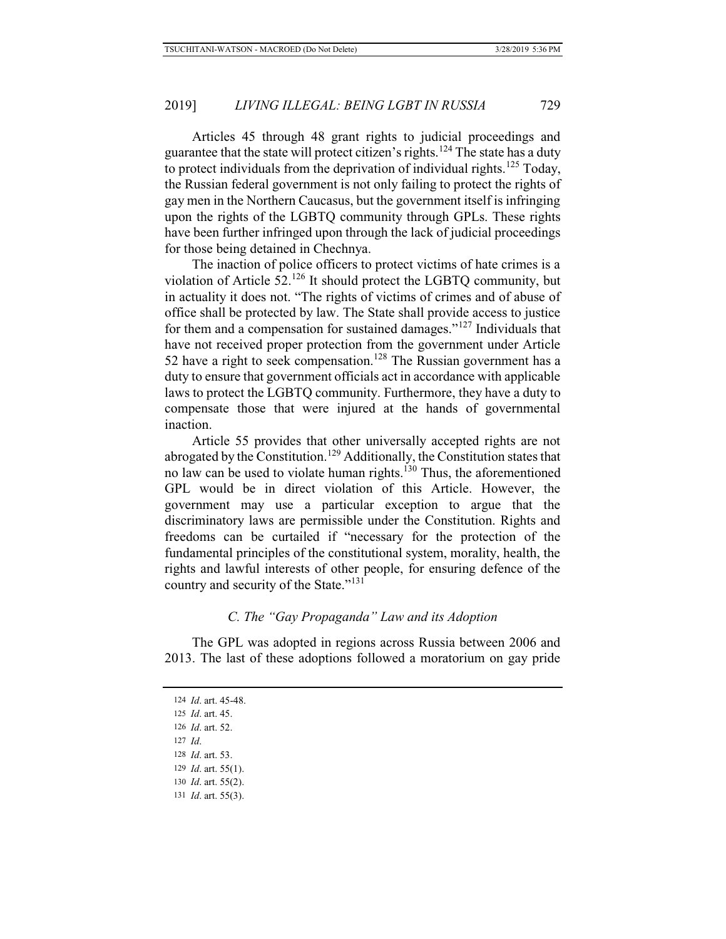Articles 45 through 48 grant rights to judicial proceedings and guarantee that the state will protect citizen's rights.<sup>124</sup> The state has a duty to protect individuals from the deprivation of individual rights.<sup>125</sup> Today, the Russian federal government is not only failing to protect the rights of gay men in the Northern Caucasus, but the government itself is infringing upon the rights of the LGBTQ community through GPLs. These rights have been further infringed upon through the lack of judicial proceedings for those being detained in Chechnya.

The inaction of police officers to protect victims of hate crimes is a violation of Article 52.126 It should protect the LGBTQ community, but in actuality it does not. "The rights of victims of crimes and of abuse of office shall be protected by law. The State shall provide access to justice for them and a compensation for sustained damages."127 Individuals that have not received proper protection from the government under Article 52 have a right to seek compensation.<sup>128</sup> The Russian government has a duty to ensure that government officials act in accordance with applicable laws to protect the LGBTQ community. Furthermore, they have a duty to compensate those that were injured at the hands of governmental inaction.

Article 55 provides that other universally accepted rights are not abrogated by the Constitution.<sup>129</sup> Additionally, the Constitution states that no law can be used to violate human rights. $130$  Thus, the aforementioned GPL would be in direct violation of this Article. However, the government may use a particular exception to argue that the discriminatory laws are permissible under the Constitution. Rights and freedoms can be curtailed if "necessary for the protection of the fundamental principles of the constitutional system, morality, health, the rights and lawful interests of other people, for ensuring defence of the country and security of the State."<sup>131</sup>

### *C. The "Gay Propaganda" Law and its Adoption*

The GPL was adopted in regions across Russia between 2006 and 2013. The last of these adoptions followed a moratorium on gay pride

 *Id*. art. 45-48.  *Id*. art. 45.  *Id*. art. 52. 127 *Id*.  *Id*. art. 53.  *Id*. art. 55(1).  *Id*. art. 55(2).  *Id*. art. 55(3).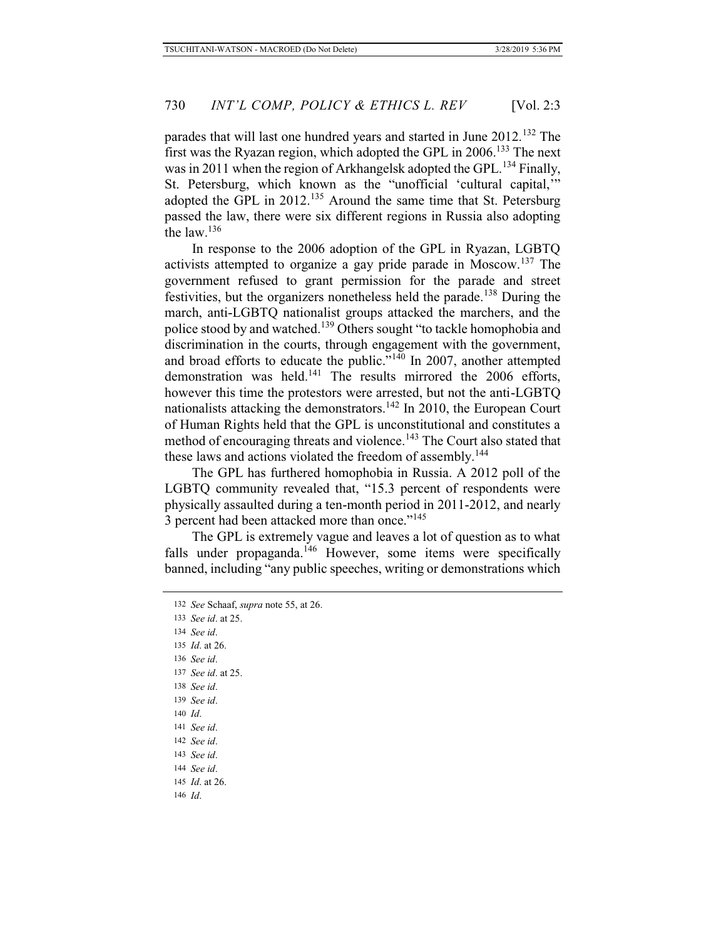parades that will last one hundred years and started in June 2012.<sup>132</sup> The first was the Ryazan region, which adopted the GPL in 2006.<sup>133</sup> The next was in 2011 when the region of Arkhangelsk adopted the GPL.<sup>134</sup> Finally, St. Petersburg, which known as the "unofficial 'cultural capital,'" adopted the GPL in 2012.<sup>135</sup> Around the same time that St. Petersburg passed the law, there were six different regions in Russia also adopting the law. $136$ 

In response to the 2006 adoption of the GPL in Ryazan, LGBTQ activists attempted to organize a gay pride parade in Moscow.137 The government refused to grant permission for the parade and street festivities, but the organizers nonetheless held the parade.138 During the march, anti-LGBTQ nationalist groups attacked the marchers, and the police stood by and watched.<sup>139</sup> Others sought "to tackle homophobia and discrimination in the courts, through engagement with the government, and broad efforts to educate the public."<sup>140</sup> In 2007, another attempted demonstration was held.<sup>141</sup> The results mirrored the 2006 efforts, however this time the protestors were arrested, but not the anti-LGBTQ nationalists attacking the demonstrators.<sup>142</sup> In 2010, the European Court of Human Rights held that the GPL is unconstitutional and constitutes a method of encouraging threats and violence.<sup>143</sup> The Court also stated that these laws and actions violated the freedom of assembly.<sup>144</sup>

The GPL has furthered homophobia in Russia. A 2012 poll of the LGBTQ community revealed that, "15.3 percent of respondents were physically assaulted during a ten-month period in 2011-2012, and nearly 3 percent had been attacked more than once."<sup>145</sup>

The GPL is extremely vague and leaves a lot of question as to what falls under propaganda.<sup>146</sup> However, some items were specifically banned, including "any public speeches, writing or demonstrations which

133 *See id*. at 25. 134 *See id*. 135 *Id*. at 26. 136 *See id*. 137 *See id*. at 25. 138 *See id*. 139 *See id*. 140 *Id*. 141 *See id*. 142 *See id*. 143 *See id*. 144 *See id*. 145 *Id*. at 26. 146 *Id*.

<sup>132</sup> *See* Schaaf, *supra* note 55, at 26.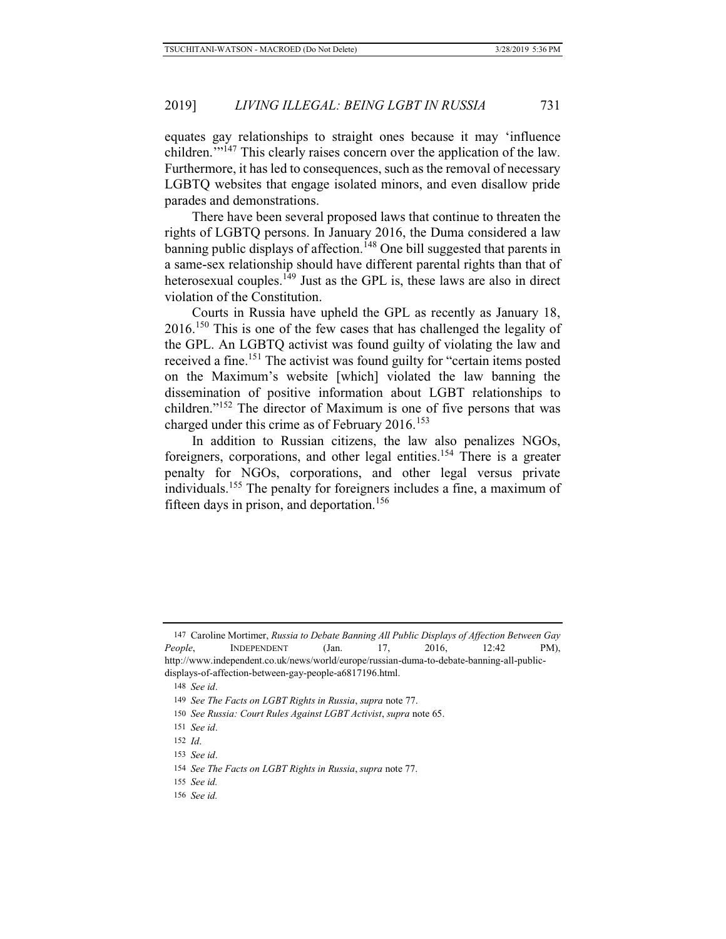equates gay relationships to straight ones because it may 'influence children.<sup>77147</sup> This clearly raises concern over the application of the law. Furthermore, it has led to consequences, such as the removal of necessary LGBTQ websites that engage isolated minors, and even disallow pride parades and demonstrations.

There have been several proposed laws that continue to threaten the rights of LGBTQ persons. In January 2016, the Duma considered a law banning public displays of affection.<sup>148</sup> One bill suggested that parents in a same-sex relationship should have different parental rights than that of heterosexual couples.<sup>149</sup> Just as the GPL is, these laws are also in direct violation of the Constitution.

Courts in Russia have upheld the GPL as recently as January 18, 2016.<sup>150</sup> This is one of the few cases that has challenged the legality of the GPL. An LGBTQ activist was found guilty of violating the law and received a fine.151 The activist was found guilty for "certain items posted on the Maximum's website [which] violated the law banning the dissemination of positive information about LGBT relationships to children."152 The director of Maximum is one of five persons that was charged under this crime as of February  $2016$ <sup>153</sup>

In addition to Russian citizens, the law also penalizes NGOs, foreigners, corporations, and other legal entities.<sup>154</sup> There is a greater penalty for NGOs, corporations, and other legal versus private individuals.155 The penalty for foreigners includes a fine, a maximum of fifteen days in prison, and deportation.<sup>156</sup>

<sup>147</sup> Caroline Mortimer, *Russia to Debate Banning All Public Displays of Affection Between Gay People*, INDEPENDENT (Jan. 17, 2016, 12:42 PM), http://www.independent.co.uk/news/world/europe/russian-duma-to-debate-banning-all-publicdisplays-of-affection-between-gay-people-a6817196.html.

<sup>148</sup> *See id*.

<sup>149</sup> *See The Facts on LGBT Rights in Russia*, *supra* note 77.

<sup>150</sup> *See Russia: Court Rules Against LGBT Activist*, *supra* note 65.

<sup>151</sup> *See id*.

<sup>152</sup> *Id*.

<sup>153</sup> *See id*.

<sup>154</sup> *See The Facts on LGBT Rights in Russia*, *supra* note 77.

<sup>155</sup> *See id.*

<sup>156</sup> *See id.*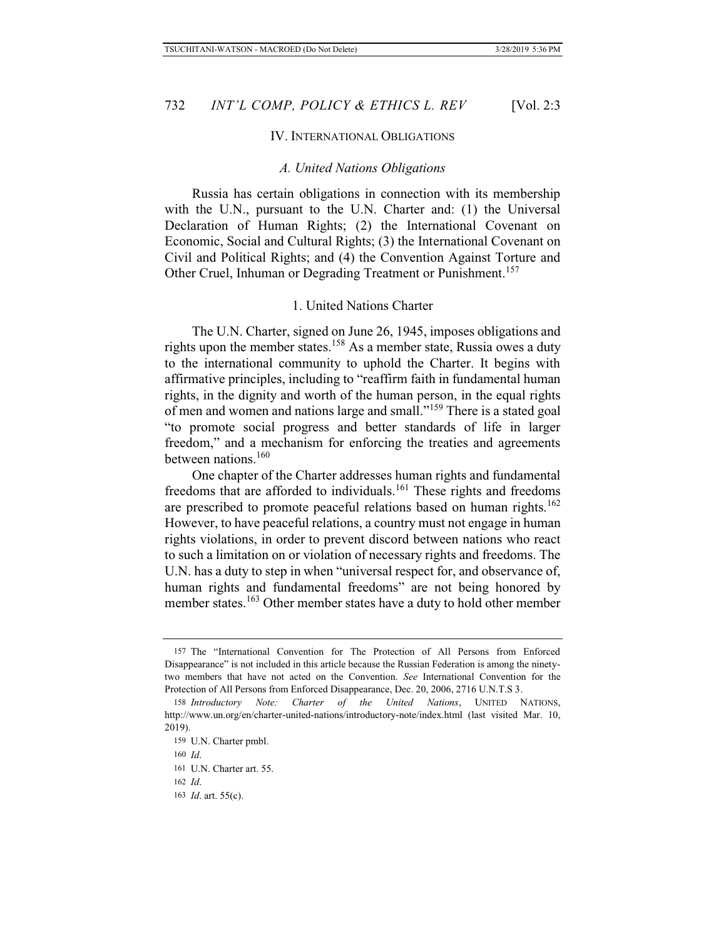#### IV. INTERNATIONAL OBLIGATIONS

#### *A. United Nations Obligations*

Russia has certain obligations in connection with its membership with the U.N., pursuant to the U.N. Charter and: (1) the Universal Declaration of Human Rights; (2) the International Covenant on Economic, Social and Cultural Rights; (3) the International Covenant on Civil and Political Rights; and (4) the Convention Against Torture and Other Cruel, Inhuman or Degrading Treatment or Punishment.<sup>157</sup>

### 1. United Nations Charter

The U.N. Charter, signed on June 26, 1945, imposes obligations and rights upon the member states.158 As a member state, Russia owes a duty to the international community to uphold the Charter. It begins with affirmative principles, including to "reaffirm faith in fundamental human rights, in the dignity and worth of the human person, in the equal rights of men and women and nations large and small."159 There is a stated goal "to promote social progress and better standards of life in larger freedom," and a mechanism for enforcing the treaties and agreements between nations.160

One chapter of the Charter addresses human rights and fundamental freedoms that are afforded to individuals.<sup>161</sup> These rights and freedoms are prescribed to promote peaceful relations based on human rights.<sup>162</sup> However, to have peaceful relations, a country must not engage in human rights violations, in order to prevent discord between nations who react to such a limitation on or violation of necessary rights and freedoms. The U.N. has a duty to step in when "universal respect for, and observance of, human rights and fundamental freedoms" are not being honored by member states.<sup>163</sup> Other member states have a duty to hold other member

<sup>157</sup> The "International Convention for The Protection of All Persons from Enforced Disappearance" is not included in this article because the Russian Federation is among the ninetytwo members that have not acted on the Convention. *See* International Convention for the Protection of All Persons from Enforced Disappearance, Dec. 20, 2006, 2716 U.N.T.S 3.

<sup>158</sup> *Introductory Note: Charter of the United Nations*, UNITED NATIONS, http://www.un.org/en/charter-united-nations/introductory-note/index.html (last visited Mar. 10, 2019).

<sup>159</sup> U.N. Charter pmbl.

<sup>160</sup> *Id*.

<sup>161</sup> U.N. Charter art. 55.

<sup>162</sup> *Id*.

<sup>163</sup> *Id*. art. 55(c).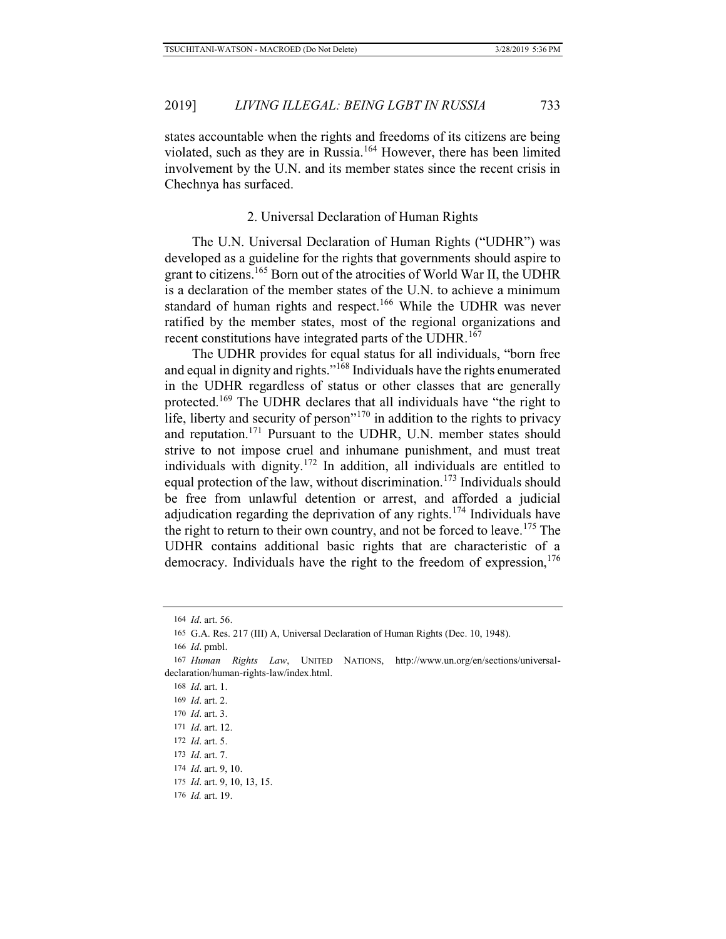states accountable when the rights and freedoms of its citizens are being violated, such as they are in Russia.164 However, there has been limited involvement by the U.N. and its member states since the recent crisis in Chechnya has surfaced.

#### 2. Universal Declaration of Human Rights

The U.N. Universal Declaration of Human Rights ("UDHR") was developed as a guideline for the rights that governments should aspire to grant to citizens.165 Born out of the atrocities of World War II, the UDHR is a declaration of the member states of the U.N. to achieve a minimum standard of human rights and respect.<sup>166</sup> While the UDHR was never ratified by the member states, most of the regional organizations and recent constitutions have integrated parts of the UDHR.<sup>167</sup>

The UDHR provides for equal status for all individuals, "born free and equal in dignity and rights."168 Individuals have the rights enumerated in the UDHR regardless of status or other classes that are generally protected.169 The UDHR declares that all individuals have "the right to life, liberty and security of person $170$  in addition to the rights to privacy and reputation.171 Pursuant to the UDHR, U.N. member states should strive to not impose cruel and inhumane punishment, and must treat individuals with dignity.172 In addition, all individuals are entitled to equal protection of the law, without discrimination.<sup>173</sup> Individuals should be free from unlawful detention or arrest, and afforded a judicial adjudication regarding the deprivation of any rights.<sup>174</sup> Individuals have the right to return to their own country, and not be forced to leave.<sup>175</sup> The UDHR contains additional basic rights that are characteristic of a democracy. Individuals have the right to the freedom of expression,  $176$ 

- 172 *Id*. art. 5.
- 173 *Id*. art. 7.

- 175 *Id*. art. 9, 10, 13, 15.
- 176 *Id.* art. 19.

<sup>164</sup> *Id*. art. 56.

<sup>165</sup> G.A. Res. 217 (III) A, Universal Declaration of Human Rights (Dec. 10, 1948).

<sup>166</sup> *Id*. pmbl.

<sup>167</sup> *Human Rights Law*, UNITED NATIONS, http://www.un.org/en/sections/universaldeclaration/human-rights-law/index.html.

<sup>168</sup> *Id*. art. 1.

<sup>169</sup> *Id*. art. 2.

<sup>170</sup> *Id*. art. 3.

<sup>171</sup> *Id*. art. 12.

<sup>174</sup> *Id*. art. 9, 10.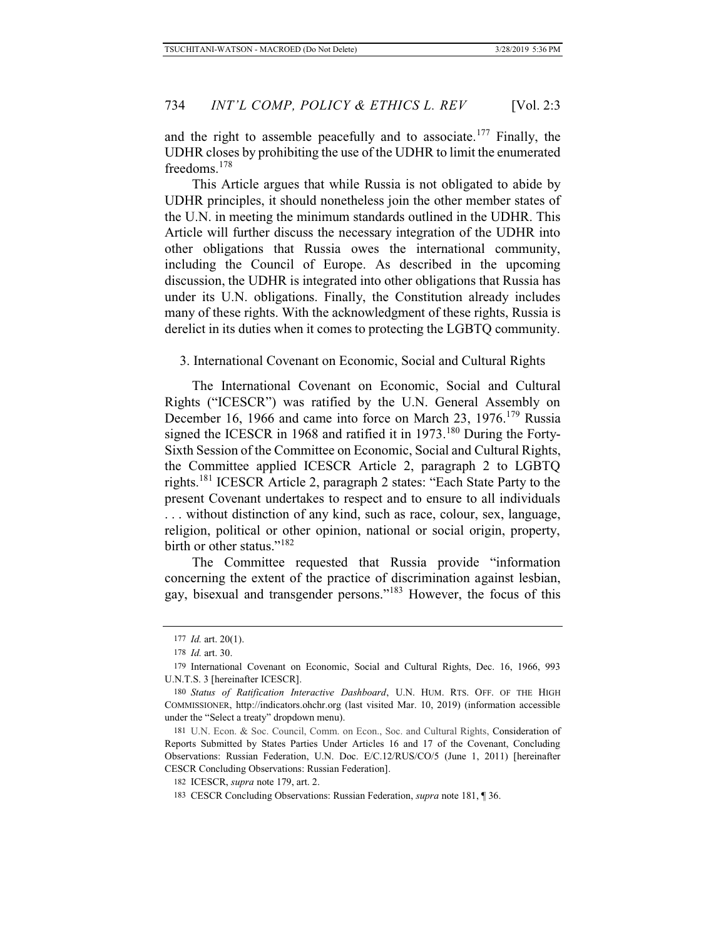and the right to assemble peacefully and to associate.<sup>177</sup> Finally, the UDHR closes by prohibiting the use of the UDHR to limit the enumerated freedoms.<sup>178</sup>

This Article argues that while Russia is not obligated to abide by UDHR principles, it should nonetheless join the other member states of the U.N. in meeting the minimum standards outlined in the UDHR. This Article will further discuss the necessary integration of the UDHR into other obligations that Russia owes the international community, including the Council of Europe. As described in the upcoming discussion, the UDHR is integrated into other obligations that Russia has under its U.N. obligations. Finally, the Constitution already includes many of these rights. With the acknowledgment of these rights, Russia is derelict in its duties when it comes to protecting the LGBTQ community.

3. International Covenant on Economic, Social and Cultural Rights

The International Covenant on Economic, Social and Cultural Rights ("ICESCR") was ratified by the U.N. General Assembly on December 16, 1966 and came into force on March 23, 1976.<sup>179</sup> Russia signed the ICESCR in 1968 and ratified it in 1973.<sup>180</sup> During the Forty-Sixth Session of the Committee on Economic, Social and Cultural Rights, the Committee applied ICESCR Article 2, paragraph 2 to LGBTQ rights.<sup>181</sup> ICESCR Article 2, paragraph 2 states: "Each State Party to the present Covenant undertakes to respect and to ensure to all individuals . . . without distinction of any kind, such as race, colour, sex, language, religion, political or other opinion, national or social origin, property, birth or other status."<sup>182</sup>

The Committee requested that Russia provide "information concerning the extent of the practice of discrimination against lesbian, gay, bisexual and transgender persons."183 However, the focus of this

<sup>177</sup> *Id.* art. 20(1).

<sup>178</sup> *Id.* art. 30.

<sup>179</sup> International Covenant on Economic, Social and Cultural Rights, Dec. 16, 1966, 993 U.N.T.S. 3 [hereinafter ICESCR].

<sup>180</sup> *Status of Ratification Interactive Dashboard*, U.N. HUM. RTS. OFF. OF THE HIGH COMMISSIONER, http://indicators.ohchr.org (last visited Mar. 10, 2019) (information accessible under the "Select a treaty" dropdown menu).

<sup>181</sup> U.N. Econ. & Soc. Council, Comm. on Econ., Soc. and Cultural Rights, Consideration of Reports Submitted by States Parties Under Articles 16 and 17 of the Covenant, Concluding Observations: Russian Federation, U.N. Doc. E/C.12/RUS/CO/5 (June 1, 2011) [hereinafter CESCR Concluding Observations: Russian Federation].

<sup>182</sup> ICESCR, *supra* note 179, art. 2.

<sup>183</sup> CESCR Concluding Observations: Russian Federation, *supra* note 181, ¶ 36.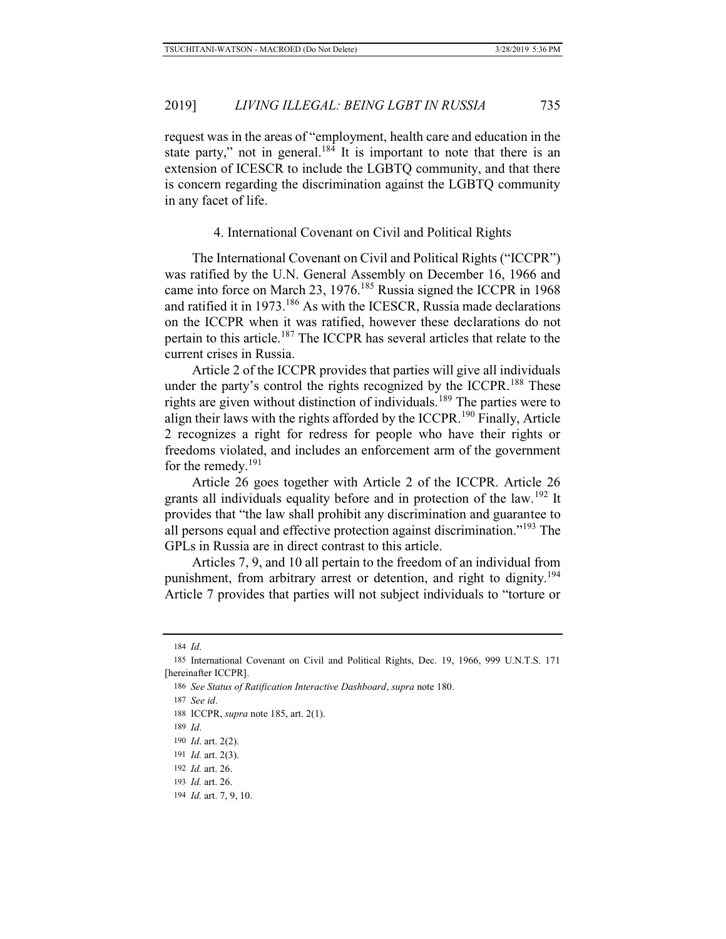request was in the areas of "employment, health care and education in the state party," not in general.<sup>184</sup> It is important to note that there is an extension of ICESCR to include the LGBTQ community, and that there is concern regarding the discrimination against the LGBTQ community in any facet of life.

### 4. International Covenant on Civil and Political Rights

The International Covenant on Civil and Political Rights ("ICCPR") was ratified by the U.N. General Assembly on December 16, 1966 and came into force on March 23, 1976.<sup>185</sup> Russia signed the ICCPR in 1968 and ratified it in 1973.186 As with the ICESCR, Russia made declarations on the ICCPR when it was ratified, however these declarations do not pertain to this article.187 The ICCPR has several articles that relate to the current crises in Russia.

Article 2 of the ICCPR provides that parties will give all individuals under the party's control the rights recognized by the ICCPR.<sup>188</sup> These rights are given without distinction of individuals.<sup>189</sup> The parties were to align their laws with the rights afforded by the ICCPR.<sup>190</sup> Finally, Article 2 recognizes a right for redress for people who have their rights or freedoms violated, and includes an enforcement arm of the government for the remedy.<sup>191</sup>

Article 26 goes together with Article 2 of the ICCPR. Article 26 grants all individuals equality before and in protection of the law.<sup>192</sup> It provides that "the law shall prohibit any discrimination and guarantee to all persons equal and effective protection against discrimination."193 The GPLs in Russia are in direct contrast to this article.

Articles 7, 9, and 10 all pertain to the freedom of an individual from punishment, from arbitrary arrest or detention, and right to dignity.<sup>194</sup> Article 7 provides that parties will not subject individuals to "torture or

189 *Id*.

<sup>184</sup> *Id*.

<sup>185</sup> International Covenant on Civil and Political Rights, Dec. 19, 1966, 999 U.N.T.S. 171 [hereinafter ICCPR].

<sup>186</sup> *See Status of Ratification Interactive Dashboard*, *supra* note 180.

<sup>187</sup> *See id*.

<sup>188</sup> ICCPR, *supra* note 185, art. 2(1).

<sup>190</sup> *Id*. art. 2(2).

<sup>191</sup> *Id.* art. 2(3).

<sup>192</sup> *Id.* art. 26.

<sup>193</sup> *Id.* art. 26.

<sup>194</sup> *Id.* art. 7, 9, 10.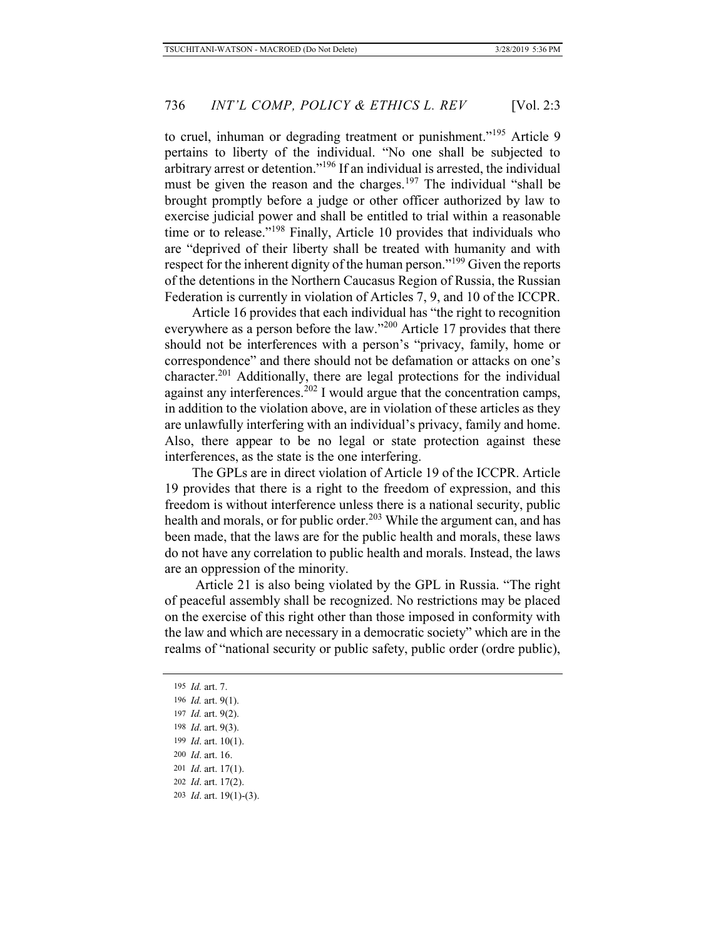to cruel, inhuman or degrading treatment or punishment."<sup>195</sup> Article 9 pertains to liberty of the individual. "No one shall be subjected to arbitrary arrest or detention."196 If an individual is arrested, the individual must be given the reason and the charges.<sup>197</sup> The individual "shall be brought promptly before a judge or other officer authorized by law to exercise judicial power and shall be entitled to trial within a reasonable time or to release."<sup>198</sup> Finally, Article 10 provides that individuals who are "deprived of their liberty shall be treated with humanity and with respect for the inherent dignity of the human person."199 Given the reports of the detentions in the Northern Caucasus Region of Russia, the Russian Federation is currently in violation of Articles 7, 9, and 10 of the ICCPR.

Article 16 provides that each individual has "the right to recognition everywhere as a person before the law."<sup>200</sup> Article 17 provides that there should not be interferences with a person's "privacy, family, home or correspondence" and there should not be defamation or attacks on one's character.201 Additionally, there are legal protections for the individual against any interferences.<sup>202</sup> I would argue that the concentration camps, in addition to the violation above, are in violation of these articles as they are unlawfully interfering with an individual's privacy, family and home. Also, there appear to be no legal or state protection against these interferences, as the state is the one interfering.

The GPLs are in direct violation of Article 19 of the ICCPR. Article 19 provides that there is a right to the freedom of expression, and this freedom is without interference unless there is a national security, public health and morals, or for public order.<sup>203</sup> While the argument can, and has been made, that the laws are for the public health and morals, these laws do not have any correlation to public health and morals. Instead, the laws are an oppression of the minority.

Article 21 is also being violated by the GPL in Russia. "The right of peaceful assembly shall be recognized. No restrictions may be placed on the exercise of this right other than those imposed in conformity with the law and which are necessary in a democratic society" which are in the realms of "national security or public safety, public order (ordre public),

 *Id.* art. 7.  *Id.* art. 9(1).  *Id.* art. 9(2).  *Id*. art. 9(3).  *Id*. art. 10(1).  *Id*. art. 16.  *Id*. art. 17(1).  *Id*. art. 17(2).  *Id*. art. 19(1)-(3).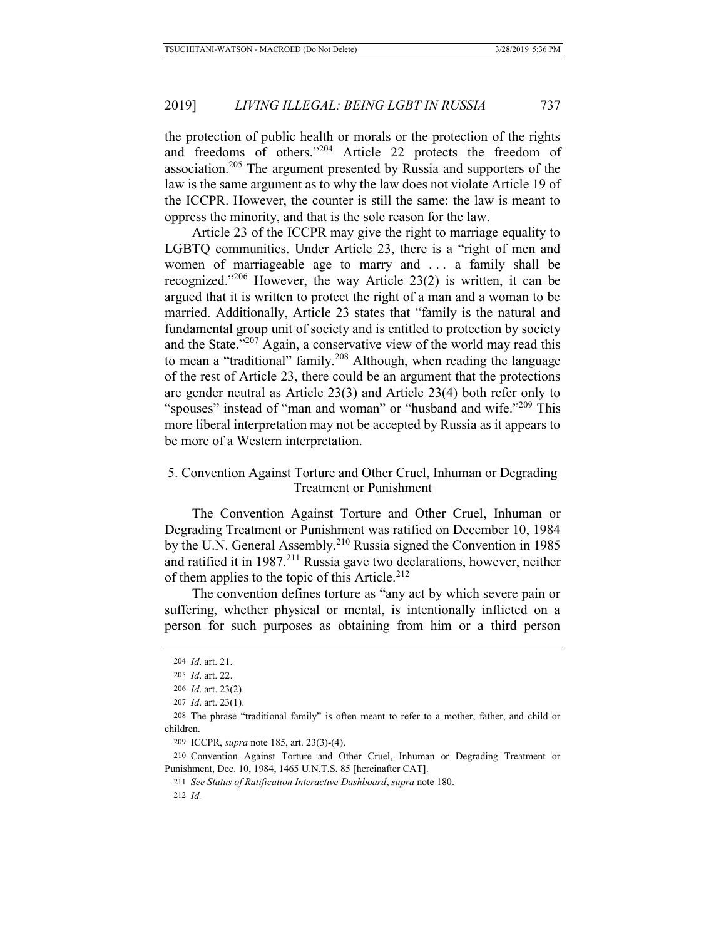the protection of public health or morals or the protection of the rights and freedoms of others."204 Article 22 protects the freedom of association.205 The argument presented by Russia and supporters of the law is the same argument as to why the law does not violate Article 19 of the ICCPR. However, the counter is still the same: the law is meant to oppress the minority, and that is the sole reason for the law.

Article 23 of the ICCPR may give the right to marriage equality to LGBTQ communities. Under Article 23, there is a "right of men and women of marriageable age to marry and . . . a family shall be recognized."<sup>206</sup> However, the way Article 23(2) is written, it can be argued that it is written to protect the right of a man and a woman to be married. Additionally, Article 23 states that "family is the natural and fundamental group unit of society and is entitled to protection by society and the State."207 Again, a conservative view of the world may read this to mean a "traditional" family.<sup>208</sup> Although, when reading the language of the rest of Article 23, there could be an argument that the protections are gender neutral as Article 23(3) and Article 23(4) both refer only to "spouses" instead of "man and woman" or "husband and wife."<sup>209</sup> This more liberal interpretation may not be accepted by Russia as it appears to be more of a Western interpretation.

### 5. Convention Against Torture and Other Cruel, Inhuman or Degrading Treatment or Punishment

The Convention Against Torture and Other Cruel, Inhuman or Degrading Treatment or Punishment was ratified on December 10, 1984 by the U.N. General Assembly.<sup>210</sup> Russia signed the Convention in 1985 and ratified it in 1987.<sup>211</sup> Russia gave two declarations, however, neither of them applies to the topic of this Article.<sup>212</sup>

The convention defines torture as "any act by which severe pain or suffering, whether physical or mental, is intentionally inflicted on a person for such purposes as obtaining from him or a third person

<sup>204</sup> *Id*. art. 21.

<sup>205</sup> *Id*. art. 22.

<sup>206</sup> *Id*. art. 23(2).

<sup>207</sup> *Id*. art. 23(1).

<sup>208</sup> The phrase "traditional family" is often meant to refer to a mother, father, and child or children.

<sup>209</sup> ICCPR, *supra* note 185, art. 23(3)-(4).

<sup>210</sup> Convention Against Torture and Other Cruel, Inhuman or Degrading Treatment or Punishment, Dec. 10, 1984, 1465 U.N.T.S. 85 [hereinafter CAT].

<sup>211</sup> *See Status of Ratification Interactive Dashboard*, *supra* note 180.

<sup>212</sup> *Id.*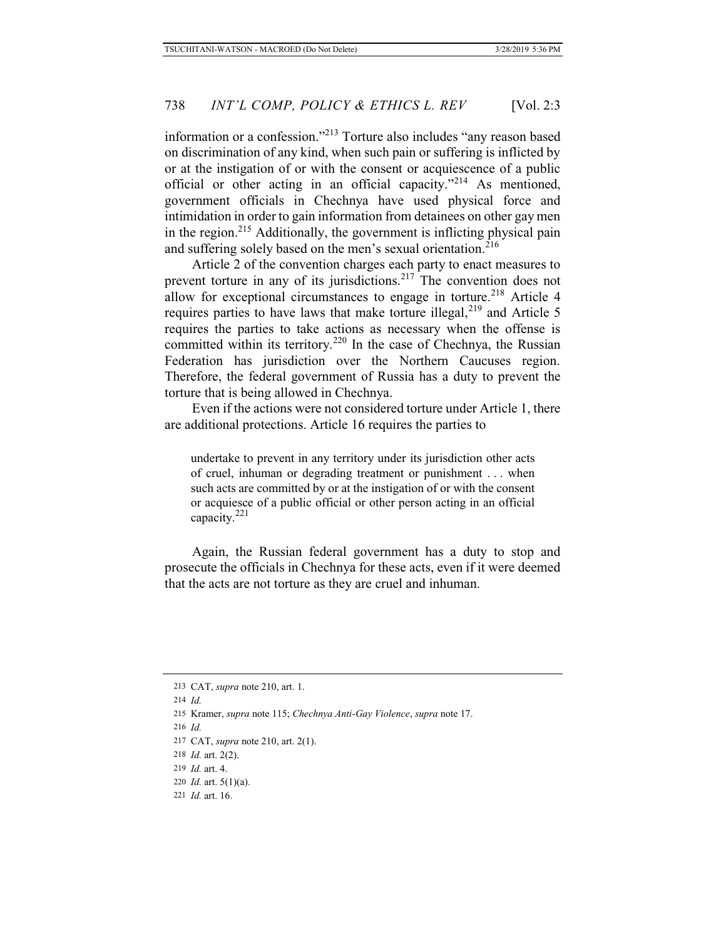information or a confession."213 Torture also includes "any reason based on discrimination of any kind, when such pain or suffering is inflicted by or at the instigation of or with the consent or acquiescence of a public official or other acting in an official capacity."214 As mentioned, government officials in Chechnya have used physical force and intimidation in order to gain information from detainees on other gay men in the region.<sup>215</sup> Additionally, the government is inflicting physical pain and suffering solely based on the men's sexual orientation.<sup>216</sup>

Article 2 of the convention charges each party to enact measures to prevent torture in any of its jurisdictions.<sup>217</sup> The convention does not allow for exceptional circumstances to engage in torture.<sup>218</sup> Article 4 requires parties to have laws that make torture illegal, $2^{19}$  and Article 5 requires the parties to take actions as necessary when the offense is committed within its territory.<sup>220</sup> In the case of Chechnya, the Russian Federation has jurisdiction over the Northern Caucuses region. Therefore, the federal government of Russia has a duty to prevent the torture that is being allowed in Chechnya.

Even if the actions were not considered torture under Article 1, there are additional protections. Article 16 requires the parties to

undertake to prevent in any territory under its jurisdiction other acts of cruel, inhuman or degrading treatment or punishment . . . when such acts are committed by or at the instigation of or with the consent or acquiesce of a public official or other person acting in an official capacity.<sup>221</sup>

Again, the Russian federal government has a duty to stop and prosecute the officials in Chechnya for these acts, even if it were deemed that the acts are not torture as they are cruel and inhuman.

<sup>213</sup> CAT, *supra* note 210, art. 1.

<sup>214</sup> *Id.*

<sup>215</sup> Kramer, *supra* note 115; *Chechnya Anti-Gay Violence*, *supra* note 17.

<sup>216</sup> *Id.*

<sup>217</sup> CAT, *supra* note 210, art. 2(1).

<sup>218</sup> *Id.* art. 2(2).

<sup>219</sup> *Id.* art. 4.

<sup>220</sup> *Id.* art. 5(1)(a).

<sup>221</sup> *Id.* art. 16.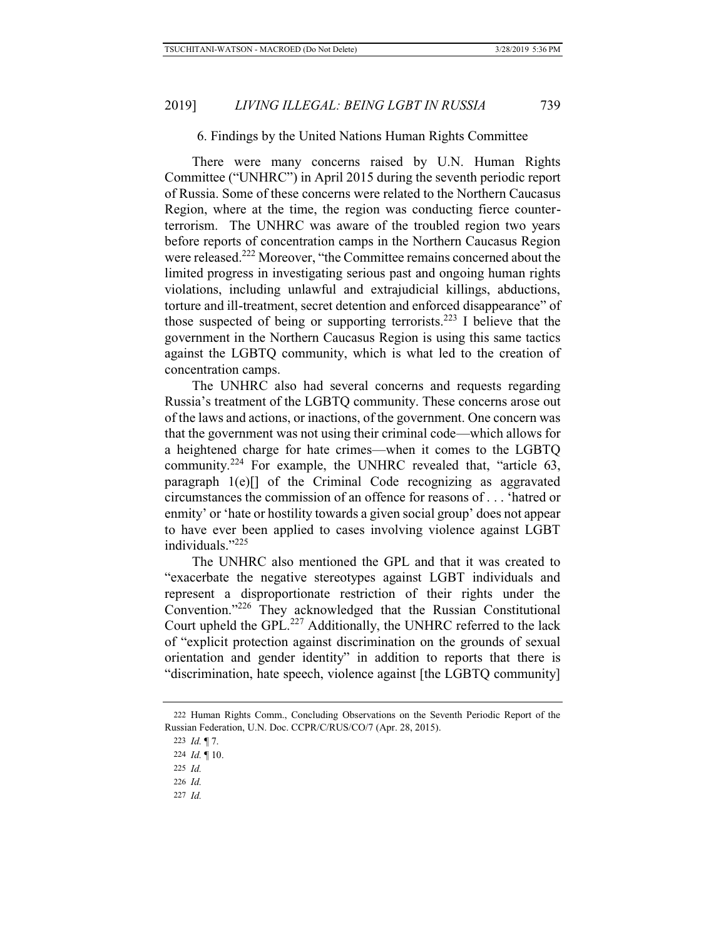#### 6. Findings by the United Nations Human Rights Committee

There were many concerns raised by U.N. Human Rights Committee ("UNHRC") in April 2015 during the seventh periodic report of Russia. Some of these concerns were related to the Northern Caucasus Region, where at the time, the region was conducting fierce counterterrorism. The UNHRC was aware of the troubled region two years before reports of concentration camps in the Northern Caucasus Region were released.222 Moreover, "the Committee remains concerned about the limited progress in investigating serious past and ongoing human rights violations, including unlawful and extrajudicial killings, abductions, torture and ill-treatment, secret detention and enforced disappearance" of those suspected of being or supporting terrorists.<sup>223</sup> I believe that the government in the Northern Caucasus Region is using this same tactics against the LGBTQ community, which is what led to the creation of concentration camps.

The UNHRC also had several concerns and requests regarding Russia's treatment of the LGBTQ community. These concerns arose out of the laws and actions, or inactions, of the government. One concern was that the government was not using their criminal code—which allows for a heightened charge for hate crimes—when it comes to the LGBTQ community.224 For example, the UNHRC revealed that, "article 63, paragraph 1(e)[] of the Criminal Code recognizing as aggravated circumstances the commission of an offence for reasons of . . . 'hatred or enmity' or 'hate or hostility towards a given social group' does not appear to have ever been applied to cases involving violence against LGBT individuals $^{1225}$ 

The UNHRC also mentioned the GPL and that it was created to "exacerbate the negative stereotypes against LGBT individuals and represent a disproportionate restriction of their rights under the Convention."226 They acknowledged that the Russian Constitutional Court upheld the GPL.<sup>227</sup> Additionally, the UNHRC referred to the lack of "explicit protection against discrimination on the grounds of sexual orientation and gender identity" in addition to reports that there is "discrimination, hate speech, violence against [the LGBTQ community]

227 *Id.*

<sup>222</sup> Human Rights Comm., Concluding Observations on the Seventh Periodic Report of the Russian Federation, U.N. Doc. CCPR/C/RUS/CO/7 (Apr. 28, 2015).

<sup>223</sup> *Id.* ¶ 7.

<sup>224</sup> *Id.* ¶ 10.

<sup>225</sup> *Id.*

<sup>226</sup> *Id.*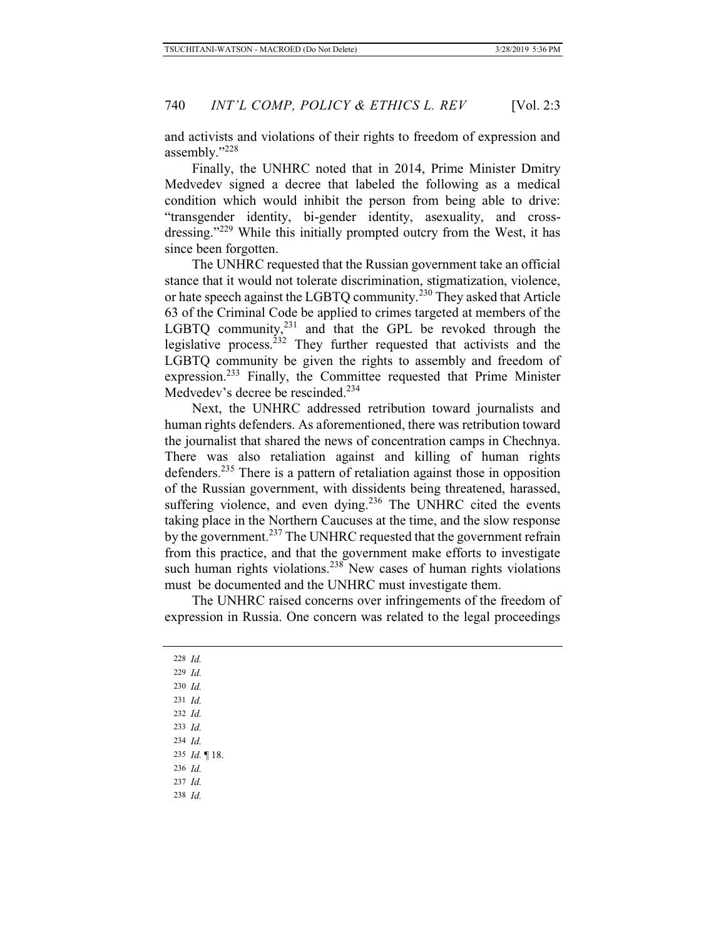and activists and violations of their rights to freedom of expression and assembly."228

Finally, the UNHRC noted that in 2014, Prime Minister Dmitry Medvedev signed a decree that labeled the following as a medical condition which would inhibit the person from being able to drive: "transgender identity, bi-gender identity, asexuality, and crossdressing."<sup>229</sup> While this initially prompted outcry from the West, it has since been forgotten.

The UNHRC requested that the Russian government take an official stance that it would not tolerate discrimination, stigmatization, violence, or hate speech against the LGBTQ community.230 They asked that Article 63 of the Criminal Code be applied to crimes targeted at members of the LGBTQ community,<sup>231</sup> and that the GPL be revoked through the legislative process.<sup>232</sup> They further requested that activists and the LGBTQ community be given the rights to assembly and freedom of expression.233 Finally, the Committee requested that Prime Minister Medvedev's decree be rescinded.<sup>234</sup>

Next, the UNHRC addressed retribution toward journalists and human rights defenders. As aforementioned, there was retribution toward the journalist that shared the news of concentration camps in Chechnya. There was also retaliation against and killing of human rights defenders.<sup>235</sup> There is a pattern of retaliation against those in opposition of the Russian government, with dissidents being threatened, harassed, suffering violence, and even dying. $236$  The UNHRC cited the events taking place in the Northern Caucuses at the time, and the slow response by the government.<sup>237</sup> The UNHRC requested that the government refrain from this practice, and that the government make efforts to investigate such human rights violations.<sup>238</sup> New cases of human rights violations must be documented and the UNHRC must investigate them.

The UNHRC raised concerns over infringements of the freedom of expression in Russia. One concern was related to the legal proceedings

228 *Id.* 229 *Id.* 230 *Id.* 231 *Id.* 232 *Id.* 233 *Id.* 234 *Id.* 235 *Id.* ¶ 18. 236 *Id.* 237 *Id.* 238 *Id.*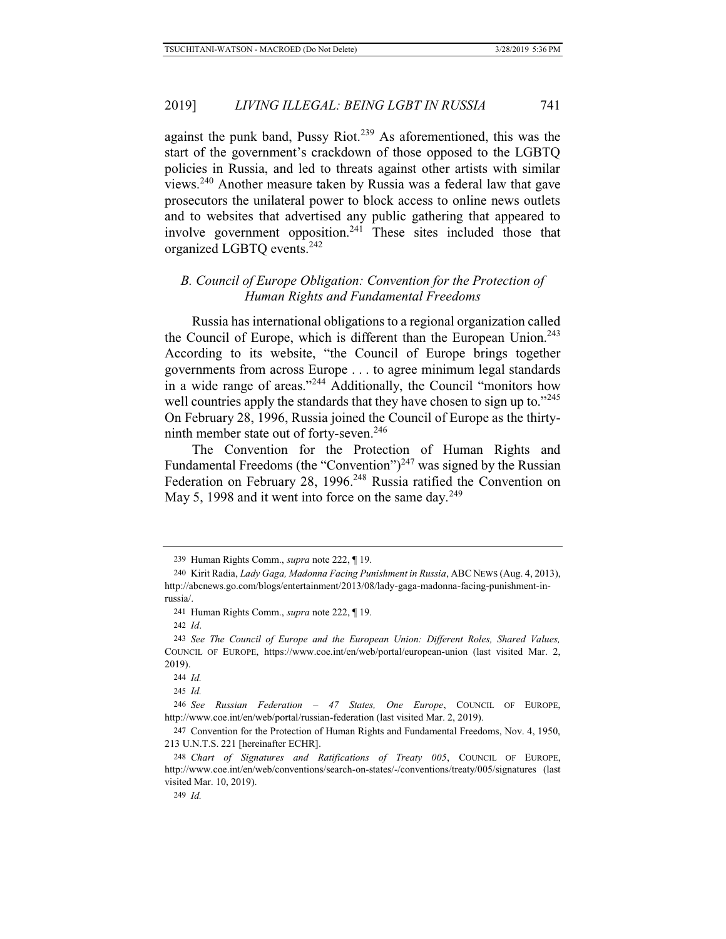against the punk band, Pussy Riot.<sup>239</sup> As aforementioned, this was the start of the government's crackdown of those opposed to the LGBTQ policies in Russia, and led to threats against other artists with similar views.240 Another measure taken by Russia was a federal law that gave prosecutors the unilateral power to block access to online news outlets and to websites that advertised any public gathering that appeared to involve government opposition.<sup>241</sup> These sites included those that organized LGBTQ events.242

### *B. Council of Europe Obligation: Convention for the Protection of Human Rights and Fundamental Freedoms*

Russia has international obligations to a regional organization called the Council of Europe, which is different than the European Union.<sup>243</sup> According to its website, "the Council of Europe brings together governments from across Europe . . . to agree minimum legal standards in a wide range of areas."<sup>244</sup> Additionally, the Council "monitors how well countries apply the standards that they have chosen to sign up to."<sup>245</sup> On February 28, 1996, Russia joined the Council of Europe as the thirtyninth member state out of forty-seven.<sup>246</sup>

The Convention for the Protection of Human Rights and Fundamental Freedoms (the "Convention")<sup>247</sup> was signed by the Russian Federation on February 28, 1996.<sup>248</sup> Russia ratified the Convention on May 5, 1998 and it went into force on the same day.<sup>249</sup>

244 *Id.*

245 *Id.*

249 *Id.*

<sup>239</sup> Human Rights Comm., *supra* note 222, ¶ 19.

<sup>240</sup> Kirit Radia, *Lady Gaga, Madonna Facing Punishment in Russia*, ABC NEWS (Aug. 4, 2013), http://abcnews.go.com/blogs/entertainment/2013/08/lady-gaga-madonna-facing-punishment-inrussia/.

<sup>241</sup> Human Rights Comm., *supra* note 222, ¶ 19.

<sup>242</sup> *Id*.

<sup>243</sup> *See The Council of Europe and the European Union: Different Roles, Shared Values,* COUNCIL OF EUROPE, https://www.coe.int/en/web/portal/european-union (last visited Mar. 2, 2019).

<sup>246</sup> *See Russian Federation – 47 States, One Europe*, COUNCIL OF EUROPE, http://www.coe.int/en/web/portal/russian-federation (last visited Mar. 2, 2019).

<sup>247</sup> Convention for the Protection of Human Rights and Fundamental Freedoms, Nov. 4, 1950, 213 U.N.T.S. 221 [hereinafter ECHR].

<sup>248</sup> *Chart of Signatures and Ratifications of Treaty 005*, COUNCIL OF EUROPE, http://www.coe.int/en/web/conventions/search-on-states/-/conventions/treaty/005/signatures (last visited Mar. 10, 2019).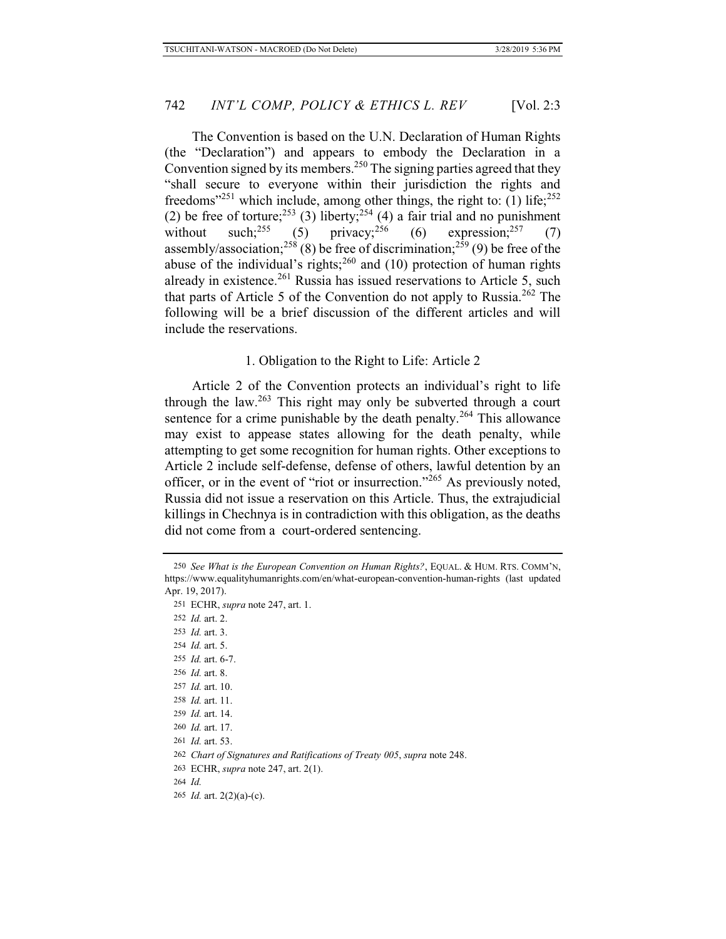The Convention is based on the U.N. Declaration of Human Rights (the "Declaration") and appears to embody the Declaration in a Convention signed by its members.<sup>250</sup> The signing parties agreed that they "shall secure to everyone within their jurisdiction the rights and freedoms<sup>"251</sup> which include, among other things, the right to: (1) life;<sup>252</sup> (2) be free of torture;<sup>253</sup> (3) liberty;<sup>254</sup> (4) a fair trial and no punishment without such;<sup>255</sup> (5) privacy;<sup>256</sup> (6) expression;<sup>257</sup> (7) without such;<sup>255</sup> (5) privacy;<sup>256</sup> (6) expression;<sup>257</sup> (7) assembly/association;<sup>258</sup> (8) be free of discrimination;<sup>259</sup> (9) be free of the abuse of the individual's rights; $^{260}$  and (10) protection of human rights already in existence.<sup>261</sup> Russia has issued reservations to Article 5, such that parts of Article 5 of the Convention do not apply to Russia.262 The following will be a brief discussion of the different articles and will include the reservations.

### 1. Obligation to the Right to Life: Article 2

Article 2 of the Convention protects an individual's right to life through the law.263 This right may only be subverted through a court sentence for a crime punishable by the death penalty.<sup>264</sup> This allowance may exist to appease states allowing for the death penalty, while attempting to get some recognition for human rights. Other exceptions to Article 2 include self-defense, defense of others, lawful detention by an officer, or in the event of "riot or insurrection."265 As previously noted, Russia did not issue a reservation on this Article. Thus, the extrajudicial killings in Chechnya is in contradiction with this obligation, as the deaths did not come from a court-ordered sentencing.

253 *Id.* art. 3.

254 *Id.* art. 5.

255 *Id.* art. 6-7. 256 *Id.* art. 8.

257 *Id.* art. 10.

258 *Id.* art. 11.

259 *Id.* art. 14.

260 *Id.* art. 17.

261 *Id.* art. 53.

262 *Chart of Signatures and Ratifications of Treaty 005*, *supra* note 248.

<sup>250</sup> *See What is the European Convention on Human Rights?*, EQUAL. & HUM. RTS. COMM'N, https://www.equalityhumanrights.com/en/what-european-convention-human-rights (last updated Apr. 19, 2017).

<sup>251</sup> ECHR, *supra* note 247, art. 1. 252 *Id.* art. 2.

<sup>263</sup> ECHR, *supra* note 247, art. 2(1).

<sup>264</sup> *Id.*

<sup>265</sup> *Id.* art. 2(2)(a)-(c).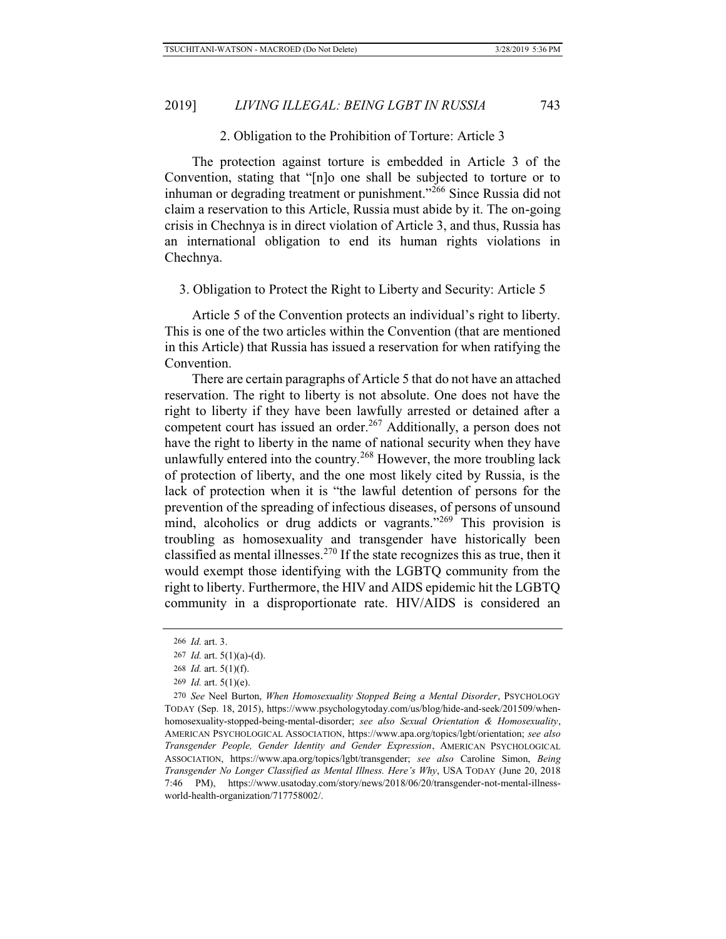#### 2. Obligation to the Prohibition of Torture: Article 3

The protection against torture is embedded in Article 3 of the Convention, stating that "[n]o one shall be subjected to torture or to inhuman or degrading treatment or punishment."<sup>266</sup> Since Russia did not claim a reservation to this Article, Russia must abide by it. The on-going crisis in Chechnya is in direct violation of Article 3, and thus, Russia has an international obligation to end its human rights violations in Chechnya.

3. Obligation to Protect the Right to Liberty and Security: Article 5

Article 5 of the Convention protects an individual's right to liberty. This is one of the two articles within the Convention (that are mentioned in this Article) that Russia has issued a reservation for when ratifying the Convention.

There are certain paragraphs of Article 5 that do not have an attached reservation. The right to liberty is not absolute. One does not have the right to liberty if they have been lawfully arrested or detained after a competent court has issued an order.<sup>267</sup> Additionally, a person does not have the right to liberty in the name of national security when they have unlawfully entered into the country.<sup>268</sup> However, the more troubling lack of protection of liberty, and the one most likely cited by Russia, is the lack of protection when it is "the lawful detention of persons for the prevention of the spreading of infectious diseases, of persons of unsound mind, alcoholics or drug addicts or vagrants."<sup>269</sup> This provision is troubling as homosexuality and transgender have historically been classified as mental illnesses.<sup>270</sup> If the state recognizes this as true, then it would exempt those identifying with the LGBTQ community from the right to liberty. Furthermore, the HIV and AIDS epidemic hit the LGBTQ community in a disproportionate rate. HIV/AIDS is considered an

<sup>266</sup> *Id.* art. 3.

<sup>267</sup> *Id.* art. 5(1)(a)-(d).

<sup>268</sup> *Id.* art. 5(1)(f).

<sup>269</sup> *Id.* art. 5(1)(e).

<sup>270</sup> *See* Neel Burton, *When Homosexuality Stopped Being a Mental Disorder*, PSYCHOLOGY TODAY (Sep. 18, 2015), https://www.psychologytoday.com/us/blog/hide-and-seek/201509/whenhomosexuality-stopped-being-mental-disorder; *see also Sexual Orientation & Homosexuality*, AMERICAN PSYCHOLOGICAL ASSOCIATION, https://www.apa.org/topics/lgbt/orientation; *see also Transgender People, Gender Identity and Gender Expression*, AMERICAN PSYCHOLOGICAL ASSOCIATION, https://www.apa.org/topics/lgbt/transgender; *see also* Caroline Simon, *Being Transgender No Longer Classified as Mental Illness. Here's Why*, USA TODAY (June 20, 2018 7:46 PM), https://www.usatoday.com/story/news/2018/06/20/transgender-not-mental-illnessworld-health-organization/717758002/.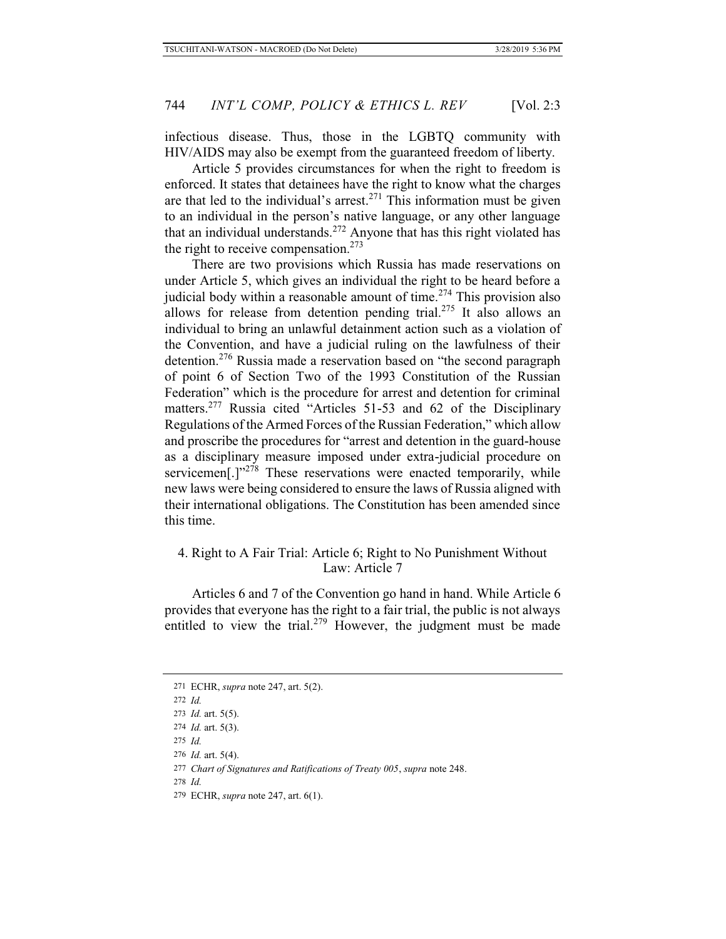infectious disease. Thus, those in the LGBTQ community with HIV/AIDS may also be exempt from the guaranteed freedom of liberty.

Article 5 provides circumstances for when the right to freedom is enforced. It states that detainees have the right to know what the charges are that led to the individual's arrest.<sup>271</sup> This information must be given to an individual in the person's native language, or any other language that an individual understands.<sup>272</sup> Anyone that has this right violated has the right to receive compensation. $273$ 

There are two provisions which Russia has made reservations on under Article 5, which gives an individual the right to be heard before a judicial body within a reasonable amount of time.<sup> $274$ </sup> This provision also allows for release from detention pending trial.<sup>275</sup> It also allows an individual to bring an unlawful detainment action such as a violation of the Convention, and have a judicial ruling on the lawfulness of their detention.276 Russia made a reservation based on "the second paragraph of point 6 of Section Two of the 1993 Constitution of the Russian Federation" which is the procedure for arrest and detention for criminal matters.<sup>277</sup> Russia cited "Articles 51-53 and 62 of the Disciplinary Regulations of the Armed Forces of the Russian Federation," which allow and proscribe the procedures for "arrest and detention in the guard-house as a disciplinary measure imposed under extra-judicial procedure on servicemen<sup>[.]"278</sup> These reservations were enacted temporarily, while new laws were being considered to ensure the laws of Russia aligned with their international obligations. The Constitution has been amended since this time.

# 4. Right to A Fair Trial: Article 6; Right to No Punishment Without Law: Article 7

Articles 6 and 7 of the Convention go hand in hand. While Article 6 provides that everyone has the right to a fair trial, the public is not always entitled to view the trial.<sup>279</sup> However, the judgment must be made

<sup>271</sup> ECHR, *supra* note 247, art. 5(2).

<sup>272</sup> *Id.*

<sup>273</sup> *Id.* art. 5(5).

<sup>274</sup> *Id.* art. 5(3).

<sup>275</sup> *Id.*

<sup>276</sup> *Id.* art. 5(4).

<sup>277</sup> *Chart of Signatures and Ratifications of Treaty 005*, *supra* note 248.

<sup>278</sup> *Id.*

<sup>279</sup> ECHR, *supra* note 247, art. 6(1).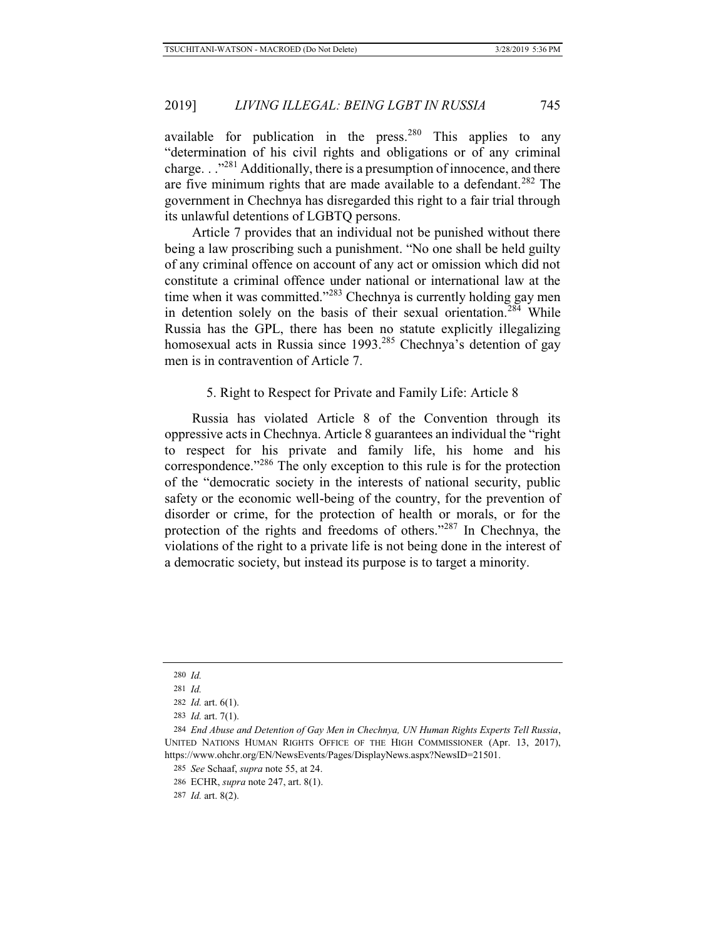available for publication in the press.<sup>280</sup> This applies to any "determination of his civil rights and obligations or of any criminal charge. . ."281 Additionally, there is a presumption of innocence, and there are five minimum rights that are made available to a defendant.<sup>282</sup> The government in Chechnya has disregarded this right to a fair trial through its unlawful detentions of LGBTQ persons.

Article 7 provides that an individual not be punished without there being a law proscribing such a punishment. "No one shall be held guilty of any criminal offence on account of any act or omission which did not constitute a criminal offence under national or international law at the time when it was committed."<sup>283</sup> Chechnya is currently holding gay men in detention solely on the basis of their sexual orientation.<sup>284</sup> While Russia has the GPL, there has been no statute explicitly illegalizing homosexual acts in Russia since 1993.<sup>285</sup> Chechnya's detention of gay men is in contravention of Article 7.

5. Right to Respect for Private and Family Life: Article 8

Russia has violated Article 8 of the Convention through its oppressive acts in Chechnya. Article 8 guarantees an individual the "right to respect for his private and family life, his home and his correspondence."286 The only exception to this rule is for the protection of the "democratic society in the interests of national security, public safety or the economic well-being of the country, for the prevention of disorder or crime, for the protection of health or morals, or for the protection of the rights and freedoms of others."287 In Chechnya, the violations of the right to a private life is not being done in the interest of a democratic society, but instead its purpose is to target a minority.

<sup>280</sup> *Id.*

<sup>281</sup> *Id.*

<sup>282</sup> *Id.* art. 6(1).

<sup>283</sup> *Id.* art. 7(1).

<sup>284</sup> *End Abuse and Detention of Gay Men in Chechnya, UN Human Rights Experts Tell Russia*, UNITED NATIONS HUMAN RIGHTS OFFICE OF THE HIGH COMMISSIONER (Apr. 13, 2017), https://www.ohchr.org/EN/NewsEvents/Pages/DisplayNews.aspx?NewsID=21501.

<sup>285</sup> *See* Schaaf, *supra* note 55, at 24.

<sup>286</sup> ECHR, *supra* note 247, art. 8(1).

<sup>287</sup> *Id.* art. 8(2).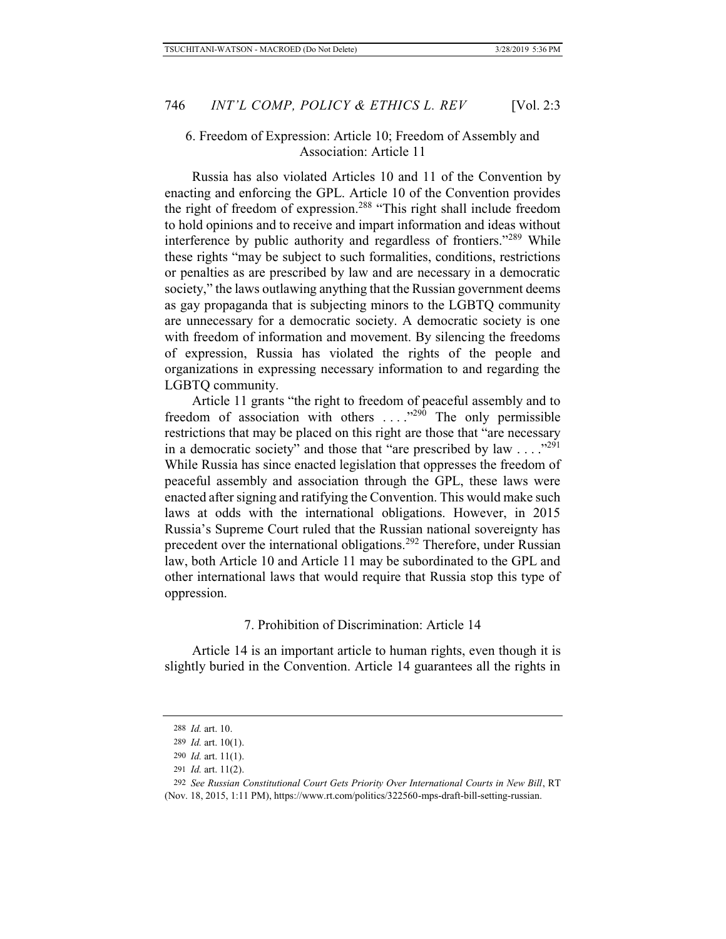### 6. Freedom of Expression: Article 10; Freedom of Assembly and Association: Article 11

Russia has also violated Articles 10 and 11 of the Convention by enacting and enforcing the GPL. Article 10 of the Convention provides the right of freedom of expression.<sup>288</sup> "This right shall include freedom to hold opinions and to receive and impart information and ideas without interference by public authority and regardless of frontiers."289 While these rights "may be subject to such formalities, conditions, restrictions or penalties as are prescribed by law and are necessary in a democratic society," the laws outlawing anything that the Russian government deems as gay propaganda that is subjecting minors to the LGBTQ community are unnecessary for a democratic society. A democratic society is one with freedom of information and movement. By silencing the freedoms of expression, Russia has violated the rights of the people and organizations in expressing necessary information to and regarding the LGBTQ community.

Article 11 grants "the right to freedom of peaceful assembly and to freedom of association with others  $\dots$ ."<sup>290</sup> The only permissible restrictions that may be placed on this right are those that "are necessary in a democratic society" and those that "are prescribed by law  $\ldots$ ."<sup>291</sup> While Russia has since enacted legislation that oppresses the freedom of peaceful assembly and association through the GPL, these laws were enacted after signing and ratifying the Convention. This would make such laws at odds with the international obligations. However, in 2015 Russia's Supreme Court ruled that the Russian national sovereignty has precedent over the international obligations.<sup>292</sup> Therefore, under Russian law, both Article 10 and Article 11 may be subordinated to the GPL and other international laws that would require that Russia stop this type of oppression.

### 7. Prohibition of Discrimination: Article 14

Article 14 is an important article to human rights, even though it is slightly buried in the Convention. Article 14 guarantees all the rights in

<sup>288</sup> *Id.* art. 10.

<sup>289</sup> *Id.* art. 10(1).

<sup>290</sup> *Id.* art. 11(1).

<sup>291</sup> *Id.* art. 11(2).

<sup>292</sup> *See Russian Constitutional Court Gets Priority Over International Courts in New Bill*, RT

<sup>(</sup>Nov. 18, 2015, 1:11 PM), https://www.rt.com/politics/322560-mps-draft-bill-setting-russian.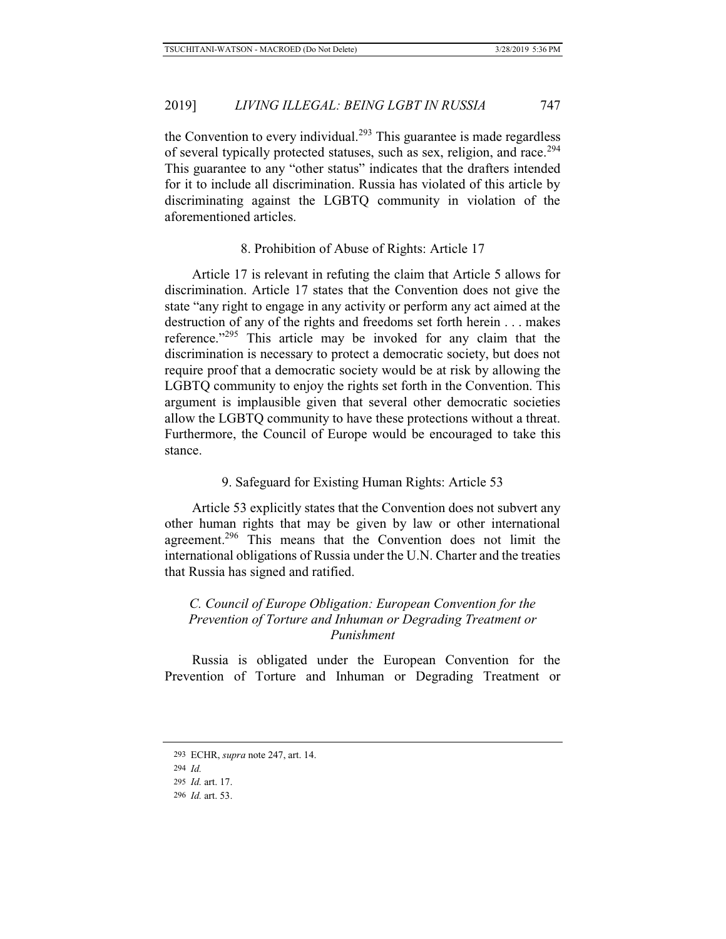the Convention to every individual.<sup>293</sup> This guarantee is made regardless of several typically protected statuses, such as sex, religion, and race.<sup>294</sup> This guarantee to any "other status" indicates that the drafters intended for it to include all discrimination. Russia has violated of this article by discriminating against the LGBTQ community in violation of the aforementioned articles.

### 8. Prohibition of Abuse of Rights: Article 17

Article 17 is relevant in refuting the claim that Article 5 allows for discrimination. Article 17 states that the Convention does not give the state "any right to engage in any activity or perform any act aimed at the destruction of any of the rights and freedoms set forth herein . . . makes reference."295 This article may be invoked for any claim that the discrimination is necessary to protect a democratic society, but does not require proof that a democratic society would be at risk by allowing the LGBTQ community to enjoy the rights set forth in the Convention. This argument is implausible given that several other democratic societies allow the LGBTQ community to have these protections without a threat. Furthermore, the Council of Europe would be encouraged to take this stance.

### 9. Safeguard for Existing Human Rights: Article 53

Article 53 explicitly states that the Convention does not subvert any other human rights that may be given by law or other international agreement.<sup>296</sup> This means that the Convention does not limit the international obligations of Russia under the U.N. Charter and the treaties that Russia has signed and ratified.

# *C. Council of Europe Obligation: European Convention for the Prevention of Torture and Inhuman or Degrading Treatment or Punishment*

Russia is obligated under the European Convention for the Prevention of Torture and Inhuman or Degrading Treatment or

<sup>293</sup> ECHR, *supra* note 247, art. 14.

<sup>294</sup> *Id.*

<sup>295</sup> *Id.* art. 17.

<sup>296</sup> *Id.* art. 53.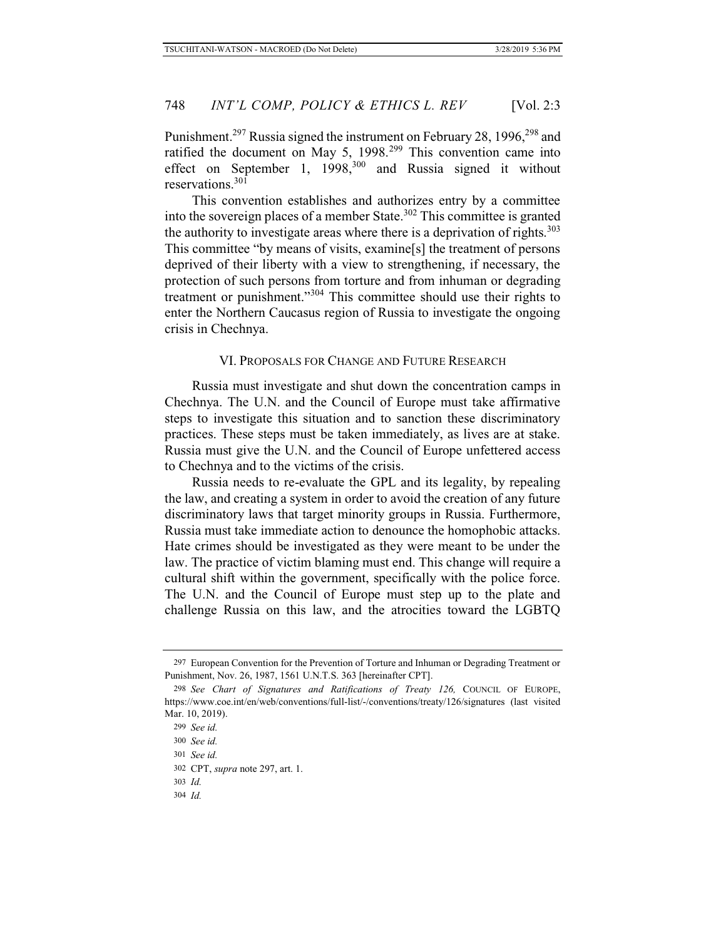Punishment.<sup>297</sup> Russia signed the instrument on February 28, 1996,<sup>298</sup> and ratified the document on May 5,  $1998.<sup>299</sup>$  This convention came into effect on September 1,  $1998$ ,<sup>300</sup> and Russia signed it without reservations.301

This convention establishes and authorizes entry by a committee into the sovereign places of a member State.<sup>302</sup> This committee is granted the authority to investigate areas where there is a deprivation of rights. $303$ This committee "by means of visits, examine[s] the treatment of persons deprived of their liberty with a view to strengthening, if necessary, the protection of such persons from torture and from inhuman or degrading treatment or punishment."304 This committee should use their rights to enter the Northern Caucasus region of Russia to investigate the ongoing crisis in Chechnya.

#### VI. PROPOSALS FOR CHANGE AND FUTURE RESEARCH

Russia must investigate and shut down the concentration camps in Chechnya. The U.N. and the Council of Europe must take affirmative steps to investigate this situation and to sanction these discriminatory practices. These steps must be taken immediately, as lives are at stake. Russia must give the U.N. and the Council of Europe unfettered access to Chechnya and to the victims of the crisis.

Russia needs to re-evaluate the GPL and its legality, by repealing the law, and creating a system in order to avoid the creation of any future discriminatory laws that target minority groups in Russia. Furthermore, Russia must take immediate action to denounce the homophobic attacks. Hate crimes should be investigated as they were meant to be under the law. The practice of victim blaming must end. This change will require a cultural shift within the government, specifically with the police force. The U.N. and the Council of Europe must step up to the plate and challenge Russia on this law, and the atrocities toward the LGBTQ

304 *Id.*

<sup>297</sup> European Convention for the Prevention of Torture and Inhuman or Degrading Treatment or Punishment, Nov. 26, 1987, 1561 U.N.T.S. 363 [hereinafter CPT].

<sup>298</sup> *See Chart of Signatures and Ratifications of Treaty 126,* COUNCIL OF EUROPE, https://www.coe.int/en/web/conventions/full-list/-/conventions/treaty/126/signatures (last visited Mar. 10, 2019).

<sup>299</sup> *See id.*

<sup>300</sup> *See id.*

<sup>301</sup> *See id.*

<sup>302</sup> CPT, *supra* note 297, art. 1.

<sup>303</sup> *Id.*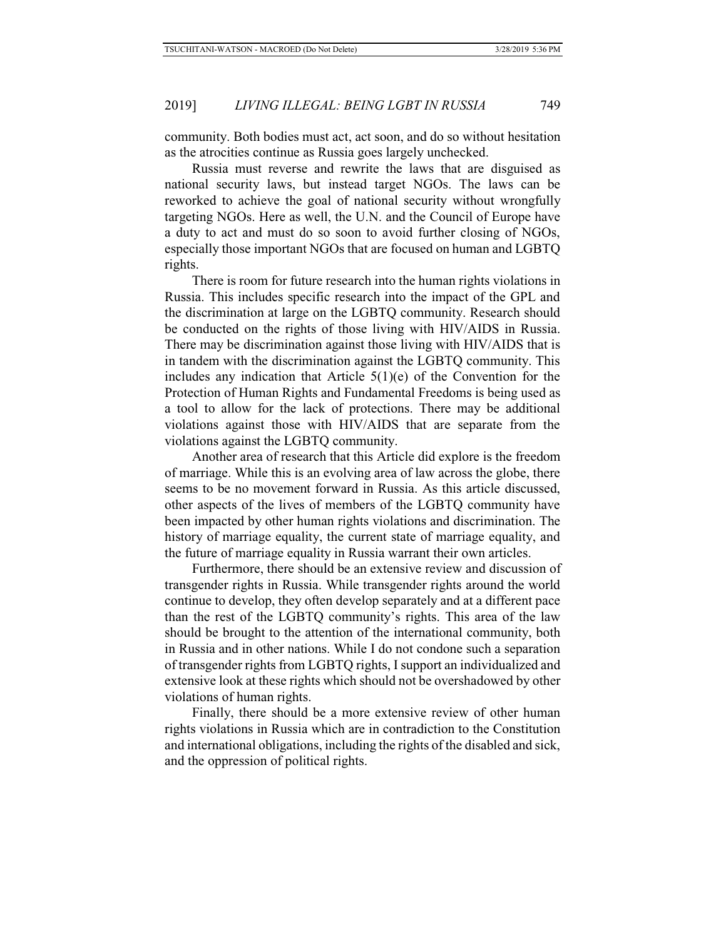community. Both bodies must act, act soon, and do so without hesitation as the atrocities continue as Russia goes largely unchecked.

Russia must reverse and rewrite the laws that are disguised as national security laws, but instead target NGOs. The laws can be reworked to achieve the goal of national security without wrongfully targeting NGOs. Here as well, the U.N. and the Council of Europe have a duty to act and must do so soon to avoid further closing of NGOs, especially those important NGOs that are focused on human and LGBTQ rights.

There is room for future research into the human rights violations in Russia. This includes specific research into the impact of the GPL and the discrimination at large on the LGBTQ community. Research should be conducted on the rights of those living with HIV/AIDS in Russia. There may be discrimination against those living with HIV/AIDS that is in tandem with the discrimination against the LGBTQ community. This includes any indication that Article  $5(1)(e)$  of the Convention for the Protection of Human Rights and Fundamental Freedoms is being used as a tool to allow for the lack of protections. There may be additional violations against those with HIV/AIDS that are separate from the violations against the LGBTQ community.

Another area of research that this Article did explore is the freedom of marriage. While this is an evolving area of law across the globe, there seems to be no movement forward in Russia. As this article discussed, other aspects of the lives of members of the LGBTQ community have been impacted by other human rights violations and discrimination. The history of marriage equality, the current state of marriage equality, and the future of marriage equality in Russia warrant their own articles.

Furthermore, there should be an extensive review and discussion of transgender rights in Russia. While transgender rights around the world continue to develop, they often develop separately and at a different pace than the rest of the LGBTQ community's rights. This area of the law should be brought to the attention of the international community, both in Russia and in other nations. While I do not condone such a separation of transgender rights from LGBTQ rights, I support an individualized and extensive look at these rights which should not be overshadowed by other violations of human rights.

Finally, there should be a more extensive review of other human rights violations in Russia which are in contradiction to the Constitution and international obligations, including the rights of the disabled and sick, and the oppression of political rights.